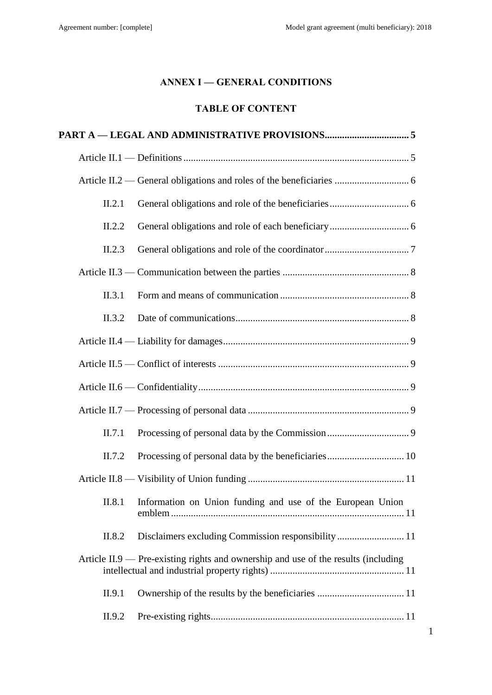# **ANNEX I — GENERAL CONDITIONS**

# **TABLE OF CONTENT**

| II.2.1 |                                                                                    |
|--------|------------------------------------------------------------------------------------|
| II.2.2 |                                                                                    |
| II.2.3 |                                                                                    |
|        |                                                                                    |
| II.3.1 |                                                                                    |
| II.3.2 |                                                                                    |
|        |                                                                                    |
|        |                                                                                    |
|        |                                                                                    |
|        |                                                                                    |
| II.7.1 |                                                                                    |
| II.7.2 |                                                                                    |
|        |                                                                                    |
| II.8.1 | Information on Union funding and use of the European Union                         |
| II.8.2 | Disclaimers excluding Commission responsibility 11                                 |
|        | Article II.9 — Pre-existing rights and ownership and use of the results (including |
| II.9.1 |                                                                                    |
| II.9.2 |                                                                                    |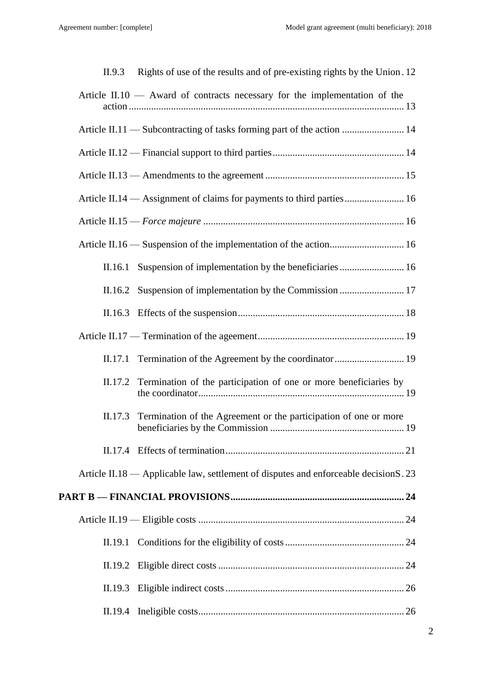| II.9.3  | Rights of use of the results and of pre-existing rights by the Union. 12              |
|---------|---------------------------------------------------------------------------------------|
|         | Article II.10 $-$ Award of contracts necessary for the implementation of the          |
|         | Article II.11 — Subcontracting of tasks forming part of the action  14                |
|         |                                                                                       |
|         |                                                                                       |
|         | Article II.14 — Assignment of claims for payments to third parties 16                 |
|         |                                                                                       |
|         |                                                                                       |
| II.16.1 | Suspension of implementation by the beneficiaries  16                                 |
| II.16.2 |                                                                                       |
|         |                                                                                       |
|         |                                                                                       |
| II.17.1 |                                                                                       |
| II.17.2 | Termination of the participation of one or more beneficiaries by                      |
| II.17.3 | Termination of the Agreement or the participation of one or more                      |
|         |                                                                                       |
|         | Article II.18 — Applicable law, settlement of disputes and enforceable decision S. 23 |
|         |                                                                                       |
|         |                                                                                       |
| II.19.1 |                                                                                       |
|         |                                                                                       |
| II.19.3 |                                                                                       |
|         |                                                                                       |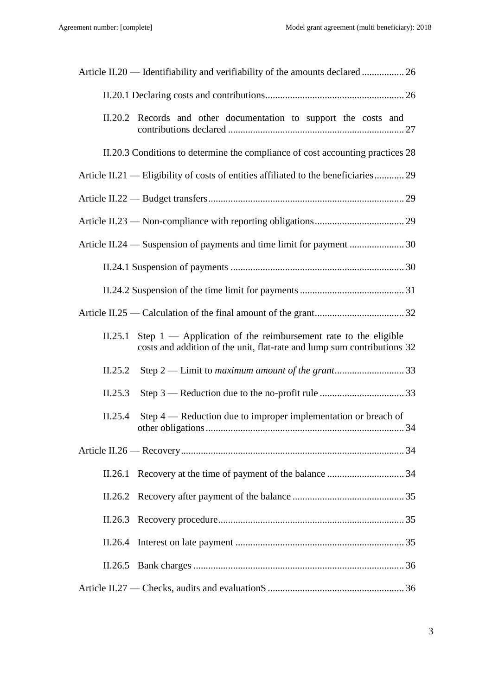| II.20.2 Records and other documentation to support the costs and                                                                                       |
|--------------------------------------------------------------------------------------------------------------------------------------------------------|
| II.20.3 Conditions to determine the compliance of cost accounting practices 28                                                                         |
| Article II.21 — Eligibility of costs of entities affiliated to the beneficiaries 29                                                                    |
|                                                                                                                                                        |
|                                                                                                                                                        |
|                                                                                                                                                        |
|                                                                                                                                                        |
|                                                                                                                                                        |
|                                                                                                                                                        |
| Step $1$ — Application of the reimbursement rate to the eligible<br>II.25.1<br>costs and addition of the unit, flat-rate and lump sum contributions 32 |
| II.25.2                                                                                                                                                |
| II.25.3                                                                                                                                                |
| II.25.4<br>Step $4$ — Reduction due to improper implementation or breach of                                                                            |
|                                                                                                                                                        |
| II.26.1                                                                                                                                                |
|                                                                                                                                                        |
| II.26.3                                                                                                                                                |
| II.26.4                                                                                                                                                |
| II.26.5                                                                                                                                                |
|                                                                                                                                                        |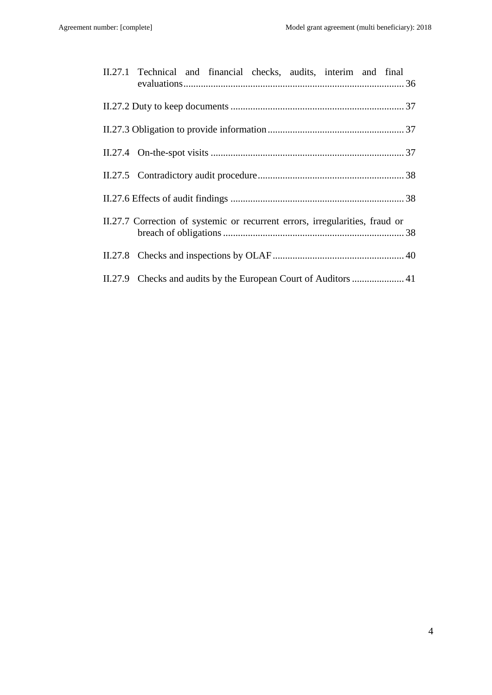| II.27.1 Technical and financial checks, audits, interim and final            |
|------------------------------------------------------------------------------|
|                                                                              |
|                                                                              |
|                                                                              |
|                                                                              |
|                                                                              |
| II.27.7 Correction of systemic or recurrent errors, irregularities, fraud or |
|                                                                              |
|                                                                              |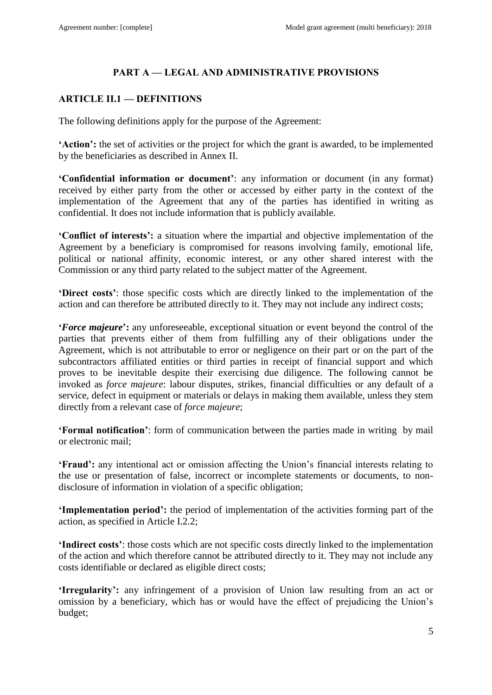# **PART A — LEGAL AND ADMINISTRATIVE PROVISIONS**

# <span id="page-4-1"></span><span id="page-4-0"></span>**ARTICLE II.1 — DEFINITIONS**

The following definitions apply for the purpose of the Agreement:

**'Action':** the set of activities or the project for which the grant is awarded, to be implemented by the beneficiaries as described in Annex II.

**'Confidential information or document'**: any information or document (in any format) received by either party from the other or accessed by either party in the context of the implementation of the Agreement that any of the parties has identified in writing as confidential. It does not include information that is publicly available.

**'Conflict of interests':** a situation where the impartial and objective implementation of the Agreement by a beneficiary is compromised for reasons involving family, emotional life, political or national affinity, economic interest, or any other shared interest with the Commission or any third party related to the subject matter of the Agreement.

**'Direct costs'**: those specific costs which are directly linked to the implementation of the action and can therefore be attributed directly to it. They may not include any indirect costs;

**'***Force majeure***':** any unforeseeable, exceptional situation or event beyond the control of the parties that prevents either of them from fulfilling any of their obligations under the Agreement, which is not attributable to error or negligence on their part or on the part of the subcontractors affiliated entities or third parties in receipt of financial support and which proves to be inevitable despite their exercising due diligence. The following cannot be invoked as *force majeure*: labour disputes, strikes, financial difficulties or any default of a service, defect in equipment or materials or delays in making them available, unless they stem directly from a relevant case of *force majeure*;

**'Formal notification'**: form of communication between the parties made in writing by mail or electronic mail;

**'Fraud':** any intentional act or omission affecting the Union's financial interests relating to the use or presentation of false, incorrect or incomplete statements or documents, to nondisclosure of information in violation of a specific obligation;

**'Implementation period':** the period of implementation of the activities forming part of the action, as specified in Article I.2.2;

**'Indirect costs'**: those costs which are not specific costs directly linked to the implementation of the action and which therefore cannot be attributed directly to it. They may not include any costs identifiable or declared as eligible direct costs;

**'Irregularity':** any infringement of a provision of Union law resulting from an act or omission by a beneficiary, which has or would have the effect of prejudicing the Union's budget;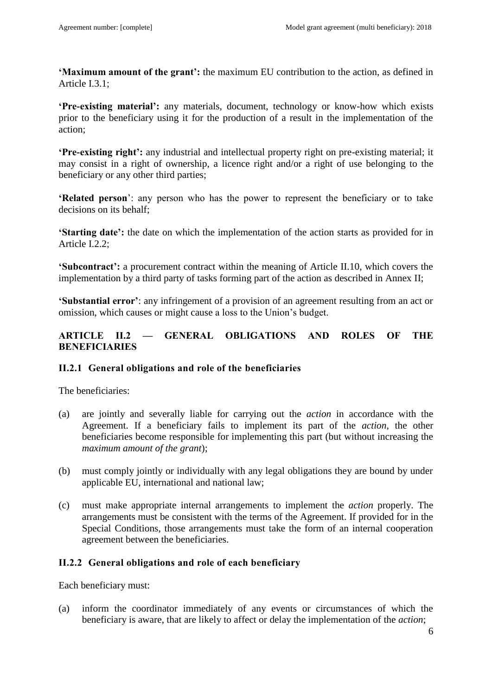**'Maximum amount of the grant':** the maximum EU contribution to the action, as defined in Article I.3.1;

**'Pre-existing material':** any materials, document, technology or know-how which exists prior to the beneficiary using it for the production of a result in the implementation of the action;

**'Pre-existing right':** any industrial and intellectual property right on pre-existing material; it may consist in a right of ownership, a licence right and/or a right of use belonging to the beneficiary or any other third parties;

**'Related person**': any person who has the power to represent the beneficiary or to take decisions on its behalf;

**'Starting date':** the date on which the implementation of the action starts as provided for in Article I.2.2;

**'Subcontract':** a procurement contract within the meaning of Article II.10, which covers the implementation by a third party of tasks forming part of the action as described in Annex II;

**'Substantial error'**: any infringement of a provision of an agreement resulting from an act or omission, which causes or might cause a loss to the Union's budget.

# <span id="page-5-0"></span>**ARTICLE II.2 — GENERAL OBLIGATIONS AND ROLES OF THE BENEFICIARIES**

## <span id="page-5-1"></span>**II.2.1 General obligations and role of the beneficiaries**

The beneficiaries:

- (a) are jointly and severally liable for carrying out the *action* in accordance with the Agreement. If a beneficiary fails to implement its part of the *action*, the other beneficiaries become responsible for implementing this part (but without increasing the *maximum amount of the grant*);
- (b) must comply jointly or individually with any legal obligations they are bound by under applicable EU, international and national law;
- (c) must make appropriate internal arrangements to implement the *action* properly. The arrangements must be consistent with the terms of the Agreement. If provided for in the Special Conditions, those arrangements must take the form of an internal cooperation agreement between the beneficiaries.

## <span id="page-5-2"></span>**II.2.2 General obligations and role of each beneficiary**

Each beneficiary must:

(a) inform the coordinator immediately of any events or circumstances of which the beneficiary is aware, that are likely to affect or delay the implementation of the *action*;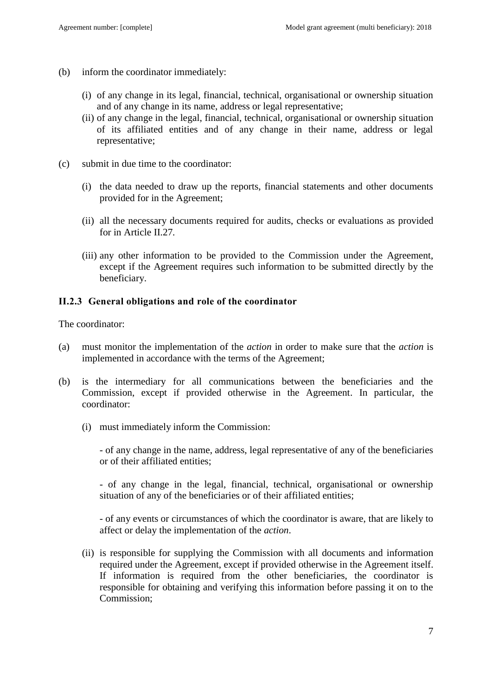- (b) inform the coordinator immediately:
	- (i) of any change in its legal, financial, technical, organisational or ownership situation and of any change in its name, address or legal representative;
	- (ii) of any change in the legal, financial, technical, organisational or ownership situation of its affiliated entities and of any change in their name, address or legal representative;
- (c) submit in due time to the coordinator:
	- (i) the data needed to draw up the reports, financial statements and other documents provided for in the Agreement;
	- (ii) all the necessary documents required for audits, checks or evaluations as provided for in Article II.27*.*
	- (iii) any other information to be provided to the Commission under the Agreement, except if the Agreement requires such information to be submitted directly by the beneficiary.

### <span id="page-6-0"></span>**II.2.3 General obligations and role of the coordinator**

The coordinator:

- (a) must monitor the implementation of the *action* in order to make sure that the *action* is implemented in accordance with the terms of the Agreement;
- (b) is the intermediary for all communications between the beneficiaries and the Commission, except if provided otherwise in the Agreement. In particular, the coordinator:
	- (i) must immediately inform the Commission:

- of any change in the name, address, legal representative of any of the beneficiaries or of their affiliated entities;

- of any change in the legal, financial, technical, organisational or ownership situation of any of the beneficiaries or of their affiliated entities;

- of any events or circumstances of which the coordinator is aware, that are likely to affect or delay the implementation of the *action*.

(ii) is responsible for supplying the Commission with all documents and information required under the Agreement, except if provided otherwise in the Agreement itself. If information is required from the other beneficiaries, the coordinator is responsible for obtaining and verifying this information before passing it on to the Commission;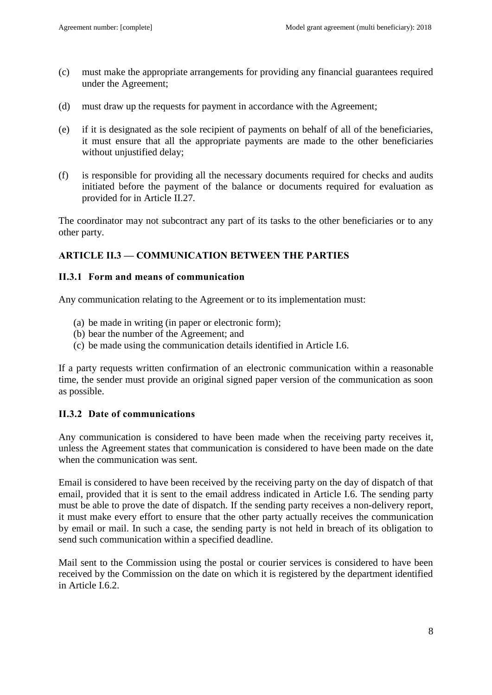- (c) must make the appropriate arrangements for providing any financial guarantees required under the Agreement;
- (d) must draw up the requests for payment in accordance with the Agreement;
- (e) if it is designated as the sole recipient of payments on behalf of all of the beneficiaries, it must ensure that all the appropriate payments are made to the other beneficiaries without unjustified delay;
- (f) is responsible for providing all the necessary documents required for checks and audits initiated before the payment of the balance or documents required for evaluation as provided for in Article II.27*.*

The coordinator may not subcontract any part of its tasks to the other beneficiaries or to any other party.

## <span id="page-7-0"></span>**ARTICLE II.3 — COMMUNICATION BETWEEN THE PARTIES**

### <span id="page-7-1"></span>**II.3.1 Form and means of communication**

Any communication relating to the Agreement or to its implementation must:

- (a) be made in writing (in paper or electronic form);
- (b) bear the number of the Agreement; and
- (c) be made using the communication details identified in Article I.6.

If a party requests written confirmation of an electronic communication within a reasonable time, the sender must provide an original signed paper version of the communication as soon as possible.

## <span id="page-7-2"></span>**II.3.2 Date of communications**

Any communication is considered to have been made when the receiving party receives it, unless the Agreement states that communication is considered to have been made on the date when the communication was sent.

Email is considered to have been received by the receiving party on the day of dispatch of that email, provided that it is sent to the email address indicated in Article I.6. The sending party must be able to prove the date of dispatch. If the sending party receives a non-delivery report, it must make every effort to ensure that the other party actually receives the communication by email or mail. In such a case, the sending party is not held in breach of its obligation to send such communication within a specified deadline.

Mail sent to the Commission using the postal or courier services is considered to have been received by the Commission on the date on which it is registered by the department identified in Article I.6.2.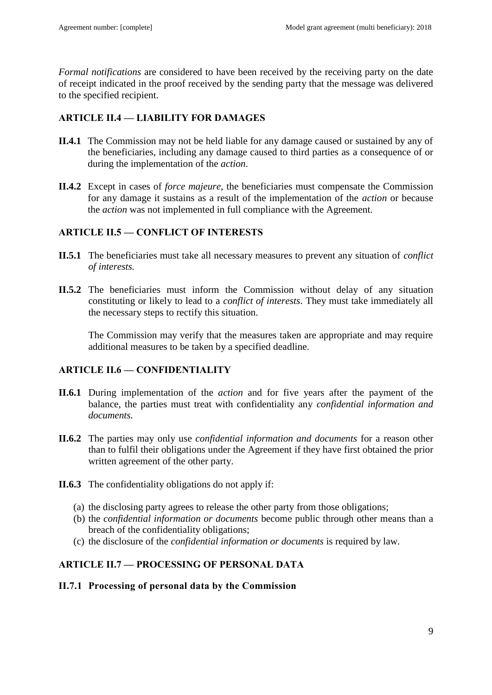*Formal notifications* are considered to have been received by the receiving party on the date of receipt indicated in the proof received by the sending party that the message was delivered to the specified recipient.

## <span id="page-8-0"></span>**ARTICLE II.4 — LIABILITY FOR DAMAGES**

- **II.4.1** The Commission may not be held liable for any damage caused or sustained by any of the beneficiaries, including any damage caused to third parties as a consequence of or during the implementation of the *action*.
- **II.4.2** Except in cases of *force majeure*, the beneficiaries must compensate the Commission for any damage it sustains as a result of the implementation of the *action* or because the *action* was not implemented in full compliance with the Agreement.

## <span id="page-8-1"></span>**ARTICLE II.5 — CONFLICT OF INTERESTS**

- **II.5.1** The beneficiaries must take all necessary measures to prevent any situation of *conflict of interests.*
- **II.5.2** The beneficiaries must inform the Commission without delay of any situation constituting or likely to lead to a *conflict of interests*. They must take immediately all the necessary steps to rectify this situation.

The Commission may verify that the measures taken are appropriate and may require additional measures to be taken by a specified deadline.

## <span id="page-8-2"></span>**ARTICLE II.6 — CONFIDENTIALITY**

- **II.6.1** During implementation of the *action* and for five years after the payment of the balance, the parties must treat with confidentiality any *confidential information and documents.*
- **II.6.2** The parties may only use *confidential information and documents* for a reason other than to fulfil their obligations under the Agreement if they have first obtained the prior written agreement of the other party.
- **II.6.3** The confidentiality obligations do not apply if:
	- (a) the disclosing party agrees to release the other party from those obligations;
	- (b) the *confidential information or documents* become public through other means than a breach of the confidentiality obligations;
	- (c) the disclosure of the *confidential information or documents* is required by law.

## <span id="page-8-3"></span>**ARTICLE II.7 — PROCESSING OF PERSONAL DATA**

## <span id="page-8-4"></span>**II.7.1 Processing of personal data by the Commission**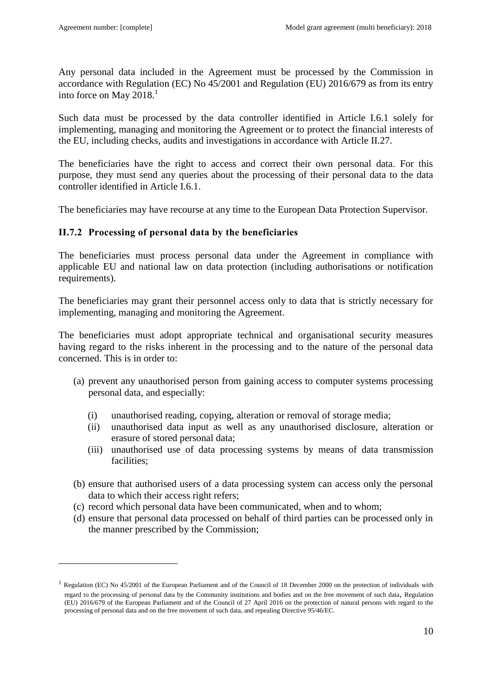$\overline{a}$ 

Any personal data included in the Agreement must be processed by the Commission in accordance with Regulation (EC) No 45/2001 and Regulation (EU) 2016/679 as from its entry into force on May 2018.<sup>1</sup>

Such data must be processed by the data controller identified in Article I.6.1 solely for implementing, managing and monitoring the Agreement or to protect the financial interests of the EU, including checks, audits and investigations in accordance with Article II.27.

The beneficiaries have the right to access and correct their own personal data. For this purpose, they must send any queries about the processing of their personal data to the data controller identified in Article I.6.1.

The beneficiaries may have recourse at any time to the European Data Protection Supervisor.

### <span id="page-9-0"></span>**II.7.2 Processing of personal data by the beneficiaries**

The beneficiaries must process personal data under the Agreement in compliance with applicable EU and national law on data protection (including authorisations or notification requirements).

The beneficiaries may grant their personnel access only to data that is strictly necessary for implementing, managing and monitoring the Agreement.

The beneficiaries must adopt appropriate technical and organisational security measures having regard to the risks inherent in the processing and to the nature of the personal data concerned. This is in order to:

- (a) prevent any unauthorised person from gaining access to computer systems processing personal data, and especially:
	- (i) unauthorised reading, copying, alteration or removal of storage media;
	- (ii) unauthorised data input as well as any unauthorised disclosure, alteration or erasure of stored personal data;
	- (iii) unauthorised use of data processing systems by means of data transmission facilities;
- (b) ensure that authorised users of a data processing system can access only the personal data to which their access right refers;
- (c) record which personal data have been communicated, when and to whom;
- (d) ensure that personal data processed on behalf of third parties can be processed only in the manner prescribed by the Commission;

<sup>&</sup>lt;sup>1</sup> Regulation (EC) No 45/2001 of the European Parliament and of the Council of 18 December 2000 on the protection of individuals with regard to the processing of personal data by the Community institutions and bodies and on the free movement of such data, Regulation (EU) 2016/679 of the European Parliament and of the Council of 27 April 2016 on the protection of natural persons with regard to the processing of personal data and on the free movement of such data, and repealing Directive 95/46/EC.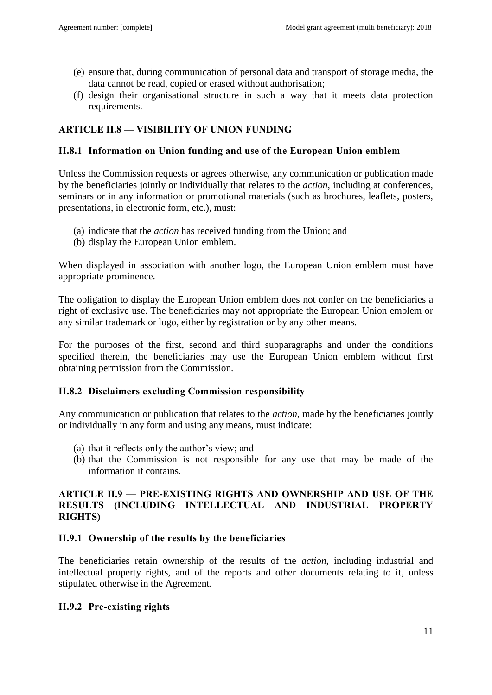- (e) ensure that, during communication of personal data and transport of storage media, the data cannot be read, copied or erased without authorisation;
- (f) design their organisational structure in such a way that it meets data protection requirements.

## <span id="page-10-0"></span>**ARTICLE II.8 — VISIBILITY OF UNION FUNDING**

### <span id="page-10-1"></span>**II.8.1 Information on Union funding and use of the European Union emblem**

Unless the Commission requests or agrees otherwise, any communication or publication made by the beneficiaries jointly or individually that relates to the *action*, including at conferences, seminars or in any information or promotional materials (such as brochures, leaflets, posters, presentations, in electronic form, etc.), must:

- (a) indicate that the *action* has received funding from the Union; and
- (b) display the European Union emblem.

When displayed in association with another logo, the European Union emblem must have appropriate prominence.

The obligation to display the European Union emblem does not confer on the beneficiaries a right of exclusive use. The beneficiaries may not appropriate the European Union emblem or any similar trademark or logo, either by registration or by any other means.

For the purposes of the first, second and third subparagraphs and under the conditions specified therein, the beneficiaries may use the European Union emblem without first obtaining permission from the Commission.

### <span id="page-10-2"></span>**II.8.2 Disclaimers excluding Commission responsibility**

Any communication or publication that relates to the *action*, made by the beneficiaries jointly or individually in any form and using any means, must indicate:

- (a) that it reflects only the author's view; and
- (b) that the Commission is not responsible for any use that may be made of the information it contains.

### <span id="page-10-3"></span>**ARTICLE II.9 — PRE-EXISTING RIGHTS AND OWNERSHIP AND USE OF THE RESULTS (INCLUDING INTELLECTUAL AND INDUSTRIAL PROPERTY RIGHTS)**

### <span id="page-10-4"></span>**II.9.1 Ownership of the results by the beneficiaries**

The beneficiaries retain ownership of the results of the *action*, including industrial and intellectual property rights, and of the reports and other documents relating to it, unless stipulated otherwise in the Agreement.

### <span id="page-10-5"></span>**II.9.2 Pre-existing rights**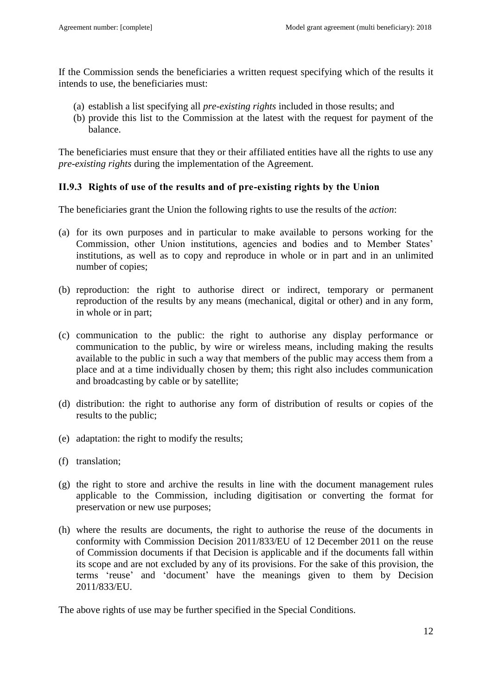If the Commission sends the beneficiaries a written request specifying which of the results it intends to use, the beneficiaries must:

- (a) establish a list specifying all *pre-existing rights* included in those results; and
- (b) provide this list to the Commission at the latest with the request for payment of the balance.

The beneficiaries must ensure that they or their affiliated entities have all the rights to use any *pre-existing rights* during the implementation of the Agreement.

## <span id="page-11-0"></span>**II.9.3 Rights of use of the results and of pre-existing rights by the Union**

The beneficiaries grant the Union the following rights to use the results of the *action*:

- (a) for its own purposes and in particular to make available to persons working for the Commission, other Union institutions, agencies and bodies and to Member States' institutions, as well as to copy and reproduce in whole or in part and in an unlimited number of copies;
- (b) reproduction: the right to authorise direct or indirect, temporary or permanent reproduction of the results by any means (mechanical, digital or other) and in any form, in whole or in part;
- (c) communication to the public: the right to authorise any display performance or communication to the public, by wire or wireless means, including making the results available to the public in such a way that members of the public may access them from a place and at a time individually chosen by them; this right also includes communication and broadcasting by cable or by satellite;
- (d) distribution: the right to authorise any form of distribution of results or copies of the results to the public;
- (e) adaptation: the right to modify the results;
- (f) translation;
- (g) the right to store and archive the results in line with the document management rules applicable to the Commission, including digitisation or converting the format for preservation or new use purposes;
- (h) where the results are documents, the right to authorise the reuse of the documents in conformity with Commission Decision 2011/833/EU of 12 December 2011 on the reuse of Commission documents if that Decision is applicable and if the documents fall within its scope and are not excluded by any of its provisions. For the sake of this provision, the terms 'reuse' and 'document' have the meanings given to them by Decision 2011/833/EU.

The above rights of use may be further specified in the Special Conditions.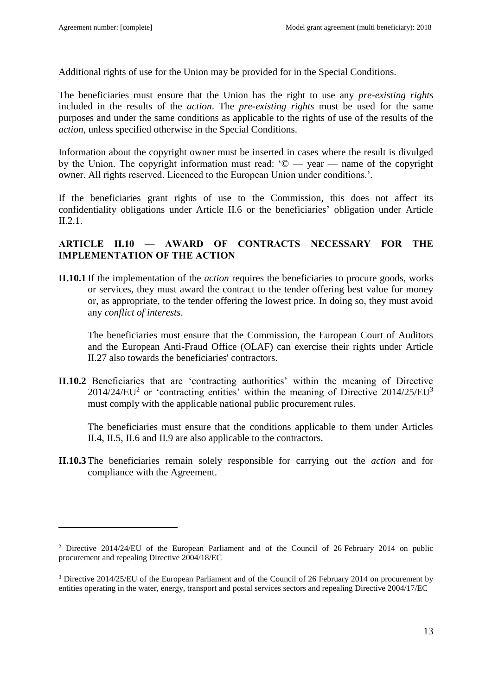$\overline{a}$ 

Additional rights of use for the Union may be provided for in the Special Conditions.

The beneficiaries must ensure that the Union has the right to use any *pre-existing rights* included in the results of the *action*. The *pre-existing rights* must be used for the same purposes and under the same conditions as applicable to the rights of use of the results of the *action,* unless specified otherwise in the Special Conditions.

Information about the copyright owner must be inserted in cases where the result is divulged by the Union. The copyright information must read:  $\degree$   $\degree$   $\degree$   $\degree$   $\degree$   $\degree$   $\degree$  annes of the copyright owner. All rights reserved. Licenced to the European Union under conditions.'.

If the beneficiaries grant rights of use to the Commission, this does not affect its confidentiality obligations under Article II.6 or the beneficiaries' obligation under Article II.2.1.

## <span id="page-12-0"></span>**ARTICLE II.10 — AWARD OF CONTRACTS NECESSARY FOR THE IMPLEMENTATION OF THE ACTION**

**II.10.1** If the implementation of the *action* requires the beneficiaries to procure goods, works or services, they must award the contract to the tender offering best value for money or, as appropriate, to the tender offering the lowest price. In doing so, they must avoid any *conflict of interests*.

The beneficiaries must ensure that the Commission, the European Court of Auditors and the European Anti-Fraud Office (OLAF) can exercise their rights under Article II.27 also towards the beneficiaries' contractors.

**II.10.2** Beneficiaries that are 'contracting authorities' within the meaning of Directive  $2014/24/EU<sup>2</sup>$  or 'contracting entities' within the meaning of Directive  $2014/25/EU<sup>3</sup>$ must comply with the applicable national public procurement rules.

The beneficiaries must ensure that the conditions applicable to them under Articles II.4, II.5, II.6 and II.9 are also applicable to the contractors.

**II.10.3** The beneficiaries remain solely responsible for carrying out the *action* and for compliance with the Agreement.

<sup>&</sup>lt;sup>2</sup> Directive 2014/24/EU of the European Parliament and of the Council of 26 February 2014 on public procurement and repealing Directive 2004/18/EC

<sup>3</sup> Directive 2014/25/EU of the European Parliament and of the Council of 26 February 2014 on procurement by entities operating in the water, energy, transport and postal services sectors and repealing Directive 2004/17/EC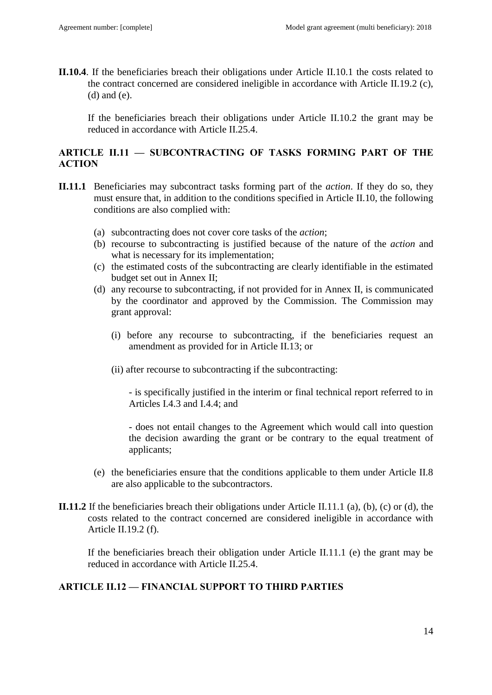**II.10.4**. If the beneficiaries breach their obligations under Article II.10.1 the costs related to the contract concerned are considered ineligible in accordance with Article II.19.2 (c), (d) and (e).

If the beneficiaries breach their obligations under Article II.10.2 the grant may be reduced in accordance with Article II.25.4.

### <span id="page-13-0"></span>**ARTICLE II.11 — SUBCONTRACTING OF TASKS FORMING PART OF THE ACTION**

- **II.11.1** Beneficiaries may subcontract tasks forming part of the *action*. If they do so, they must ensure that, in addition to the conditions specified in Article II.10, the following conditions are also complied with:
	- (a) subcontracting does not cover core tasks of the *action*;
	- (b) recourse to subcontracting is justified because of the nature of the *action* and what is necessary for its implementation;
	- (c) the estimated costs of the subcontracting are clearly identifiable in the estimated budget set out in Annex II;
	- (d) any recourse to subcontracting, if not provided for in Annex II, is communicated by the coordinator and approved by the Commission. The Commission may grant approval:
		- (i) before any recourse to subcontracting, if the beneficiaries request an amendment as provided for in Article II.13; or
		- (ii) after recourse to subcontracting if the subcontracting:

- is specifically justified in the interim or final technical report referred to in Articles I.4.3 and I.4.4; and

- does not entail changes to the Agreement which would call into question the decision awarding the grant or be contrary to the equal treatment of applicants;

- (e) the beneficiaries ensure that the conditions applicable to them under Article II.8 are also applicable to the subcontractors.
- **II.11.2** If the beneficiaries breach their obligations under Article II.11.1 (a), (b), (c) or (d), the costs related to the contract concerned are considered ineligible in accordance with Article II.19.2 (f).

If the beneficiaries breach their obligation under Article II.11.1 (e) the grant may be reduced in accordance with Article II.25.4.

### <span id="page-13-1"></span>**ARTICLE II.12 — FINANCIAL SUPPORT TO THIRD PARTIES**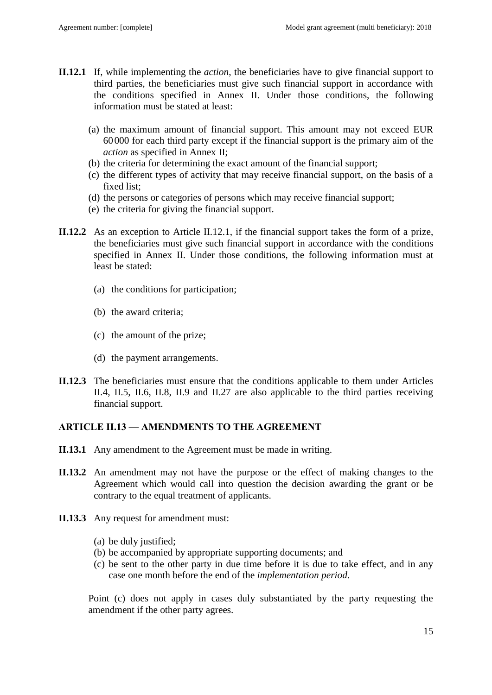- **II.12.1** If, while implementing the *action*, the beneficiaries have to give financial support to third parties, the beneficiaries must give such financial support in accordance with the conditions specified in Annex II. Under those conditions, the following information must be stated at least:
	- (a) the maximum amount of financial support. This amount may not exceed EUR 60000 for each third party except if the financial support is the primary aim of the *action* as specified in Annex II;
	- (b) the criteria for determining the exact amount of the financial support;
	- (c) the different types of activity that may receive financial support, on the basis of a fixed list;
	- (d) the persons or categories of persons which may receive financial support;
	- (e) the criteria for giving the financial support.
- **II.12.2** As an exception to Article II.12.1, if the financial support takes the form of a prize, the beneficiaries must give such financial support in accordance with the conditions specified in Annex II. Under those conditions, the following information must at least be stated:
	- (a) the conditions for participation;
	- (b) the award criteria;
	- (c) the amount of the prize;
	- (d) the payment arrangements.
- **II.12.3** The beneficiaries must ensure that the conditions applicable to them under Articles II.4, II.5, II.6, II.8, II.9 and II.27 are also applicable to the third parties receiving financial support.

## <span id="page-14-0"></span>**ARTICLE II.13 — AMENDMENTS TO THE AGREEMENT**

- **II.13.1** Any amendment to the Agreement must be made in writing.
- **II.13.2** An amendment may not have the purpose or the effect of making changes to the Agreement which would call into question the decision awarding the grant or be contrary to the equal treatment of applicants.
- **II.13.3** Any request for amendment must:
	- (a) be duly justified;
	- (b) be accompanied by appropriate supporting documents; and
	- (c) be sent to the other party in due time before it is due to take effect, and in any case one month before the end of the *implementation period*.

Point (c) does not apply in cases duly substantiated by the party requesting the amendment if the other party agrees.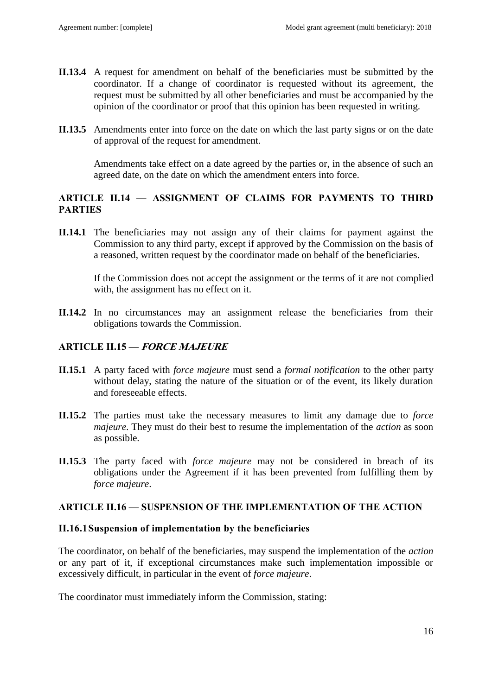- **II.13.4** A request for amendment on behalf of the beneficiaries must be submitted by the coordinator. If a change of coordinator is requested without its agreement, the request must be submitted by all other beneficiaries and must be accompanied by the opinion of the coordinator or proof that this opinion has been requested in writing.
- **II.13.5** Amendments enter into force on the date on which the last party signs or on the date of approval of the request for amendment.

Amendments take effect on a date agreed by the parties or, in the absence of such an agreed date, on the date on which the amendment enters into force.

## <span id="page-15-0"></span>**ARTICLE II.14 — ASSIGNMENT OF CLAIMS FOR PAYMENTS TO THIRD PARTIES**

**II.14.1** The beneficiaries may not assign any of their claims for payment against the Commission to any third party, except if approved by the Commission on the basis of a reasoned, written request by the coordinator made on behalf of the beneficiaries.

If the Commission does not accept the assignment or the terms of it are not complied with, the assignment has no effect on it.

**II.14.2** In no circumstances may an assignment release the beneficiaries from their obligations towards the Commission.

## <span id="page-15-1"></span>**ARTICLE II.15 — FORCE MAJEURE**

- **II.15.1** A party faced with *force majeure* must send a *formal notification* to the other party without delay, stating the nature of the situation or of the event, its likely duration and foreseeable effects.
- **II.15.2** The parties must take the necessary measures to limit any damage due to *force majeure*. They must do their best to resume the implementation of the *action* as soon as possible.
- **II.15.3** The party faced with *force majeure* may not be considered in breach of its obligations under the Agreement if it has been prevented from fulfilling them by *force majeure*.

### <span id="page-15-2"></span>**ARTICLE II.16 — SUSPENSION OF THE IMPLEMENTATION OF THE ACTION**

### <span id="page-15-3"></span>**II.16.1Suspension of implementation by the beneficiaries**

The coordinator, on behalf of the beneficiaries, may suspend the implementation of the *action* or any part of it, if exceptional circumstances make such implementation impossible or excessively difficult, in particular in the event of *force majeure*.

The coordinator must immediately inform the Commission, stating: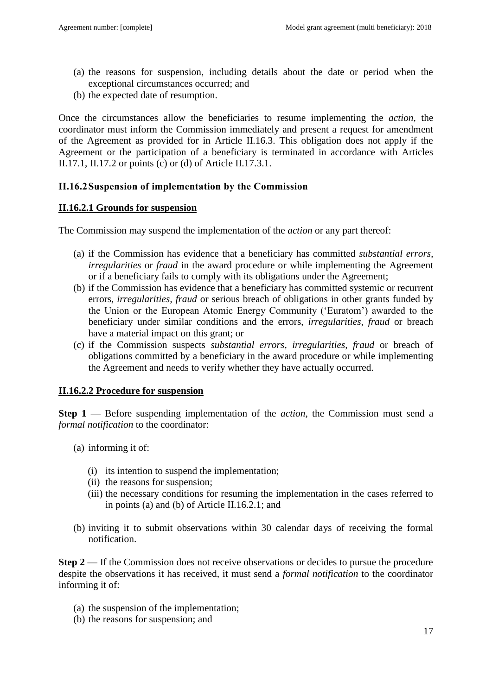- (a) the reasons for suspension, including details about the date or period when the exceptional circumstances occurred; and
- (b) the expected date of resumption.

Once the circumstances allow the beneficiaries to resume implementing the *action*, the coordinator must inform the Commission immediately and present a request for amendment of the Agreement as provided for in Article II.16.3. This obligation does not apply if the Agreement or the participation of a beneficiary is terminated in accordance with Articles II.17.1, II.17.2 or points (c) or (d) of Article II.17.3.1.

## <span id="page-16-0"></span>**II.16.2Suspension of implementation by the Commission**

### **II.16.2.1 Grounds for suspension**

The Commission may suspend the implementation of the *action* or any part thereof:

- (a) if the Commission has evidence that a beneficiary has committed *substantial errors*, *irregularities* or *fraud* in the award procedure or while implementing the Agreement or if a beneficiary fails to comply with its obligations under the Agreement;
- (b) if the Commission has evidence that a beneficiary has committed systemic or recurrent errors, *irregularities, fraud* or serious breach of obligations in other grants funded by the Union or the European Atomic Energy Community ('Euratom') awarded to the beneficiary under similar conditions and the errors, *irregularities, fraud* or breach have a material impact on this grant; or
- (c) if the Commission suspects *substantial errors, irregularities, fraud* or breach of obligations committed by a beneficiary in the award procedure or while implementing the Agreement and needs to verify whether they have actually occurred.

### **II.16.2.2 Procedure for suspension**

**Step 1** — Before suspending implementation of the *action*, the Commission must send a *formal notification* to the coordinator:

- (a) informing it of:
	- (i) its intention to suspend the implementation;
	- (ii) the reasons for suspension;
	- (iii) the necessary conditions for resuming the implementation in the cases referred to in points (a) and (b) of Article II.16.2.1; and
- (b) inviting it to submit observations within 30 calendar days of receiving the formal notification.

**Step 2** — If the Commission does not receive observations or decides to pursue the procedure despite the observations it has received, it must send a *formal notification* to the coordinator informing it of:

- (a) the suspension of the implementation;
- (b) the reasons for suspension; and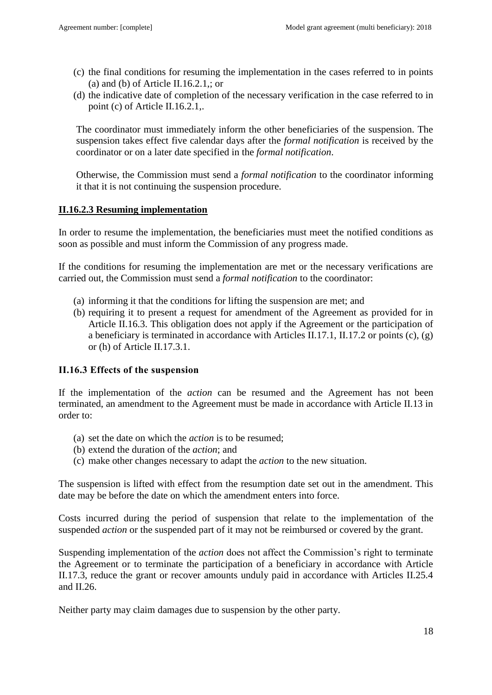- (c) the final conditions for resuming the implementation in the cases referred to in points (a) and (b) of Article II.16.2.1,; or
- (d) the indicative date of completion of the necessary verification in the case referred to in point (c) of Article II.16.2.1,.

The coordinator must immediately inform the other beneficiaries of the suspension. The suspension takes effect five calendar days after the *formal notification* is received by the coordinator or on a later date specified in the *formal notification*.

Otherwise, the Commission must send a *formal notification* to the coordinator informing it that it is not continuing the suspension procedure.

### **II.16.2.3 Resuming implementation**

In order to resume the implementation, the beneficiaries must meet the notified conditions as soon as possible and must inform the Commission of any progress made.

If the conditions for resuming the implementation are met or the necessary verifications are carried out, the Commission must send a *formal notification* to the coordinator:

- (a) informing it that the conditions for lifting the suspension are met; and
- (b) requiring it to present a request for amendment of the Agreement as provided for in Article II.16.3. This obligation does not apply if the Agreement or the participation of a beneficiary is terminated in accordance with Articles II.17.1, II.17.2 or points (c), (g) or (h) of Article II.17.3.1.

## <span id="page-17-0"></span>**II.16.3 Effects of the suspension**

If the implementation of the *action* can be resumed and the Agreement has not been terminated, an amendment to the Agreement must be made in accordance with Article II.13 in order to:

- (a) set the date on which the *action* is to be resumed;
- (b) extend the duration of the *action*; and
- (c) make other changes necessary to adapt the *action* to the new situation.

The suspension is lifted with effect from the resumption date set out in the amendment. This date may be before the date on which the amendment enters into force.

Costs incurred during the period of suspension that relate to the implementation of the suspended *action* or the suspended part of it may not be reimbursed or covered by the grant.

Suspending implementation of the *action* does not affect the Commission's right to terminate the Agreement or to terminate the participation of a beneficiary in accordance with Article II.17.3, reduce the grant or recover amounts unduly paid in accordance with Articles II.25.4 and II.26.

Neither party may claim damages due to suspension by the other party.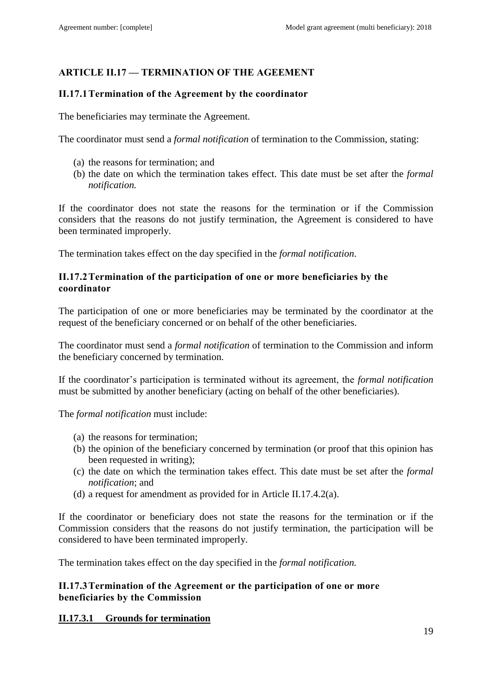# <span id="page-18-0"></span>**ARTICLE II.17 — TERMINATION OF THE AGEEMENT**

### <span id="page-18-1"></span>**II.17.1Termination of the Agreement by the coordinator**

The beneficiaries may terminate the Agreement.

The coordinator must send a *formal notification* of termination to the Commission, stating:

- (a) the reasons for termination; and
- (b) the date on which the termination takes effect. This date must be set after the *formal notification.*

If the coordinator does not state the reasons for the termination or if the Commission considers that the reasons do not justify termination, the Agreement is considered to have been terminated improperly.

The termination takes effect on the day specified in the *formal notification*.

### <span id="page-18-2"></span>**II.17.2Termination of the participation of one or more beneficiaries by the coordinator**

The participation of one or more beneficiaries may be terminated by the coordinator at the request of the beneficiary concerned or on behalf of the other beneficiaries.

The coordinator must send a *formal notification* of termination to the Commission and inform the beneficiary concerned by termination.

If the coordinator's participation is terminated without its agreement, the *formal notification* must be submitted by another beneficiary (acting on behalf of the other beneficiaries).

The *formal notification* must include:

- (a) the reasons for termination;
- (b) the opinion of the beneficiary concerned by termination (or proof that this opinion has been requested in writing);
- (c) the date on which the termination takes effect. This date must be set after the *formal notification*; and
- (d) a request for amendment as provided for in Article II.17.4.2(a).

If the coordinator or beneficiary does not state the reasons for the termination or if the Commission considers that the reasons do not justify termination, the participation will be considered to have been terminated improperly.

The termination takes effect on the day specified in the *formal notification.*

### <span id="page-18-3"></span>**II.17.3Termination of the Agreement or the participation of one or more beneficiaries by the Commission**

### **II.17.3.1 Grounds for termination**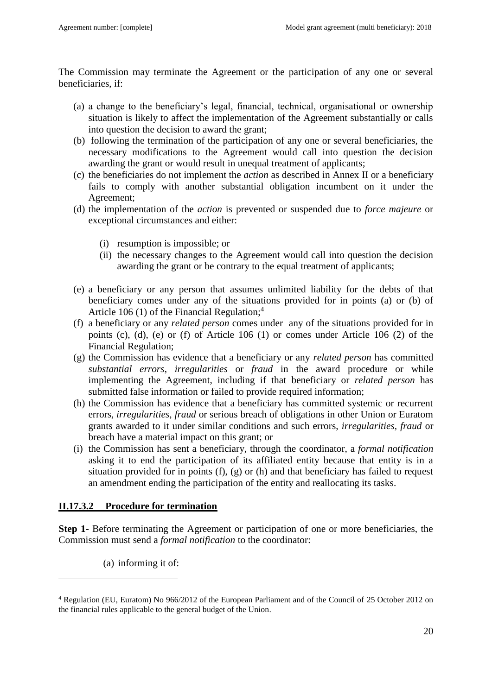The Commission may terminate the Agreement or the participation of any one or several beneficiaries, if:

- (a) a change to the beneficiary's legal, financial, technical, organisational or ownership situation is likely to affect the implementation of the Agreement substantially or calls into question the decision to award the grant;
- (b) following the termination of the participation of any one or several beneficiaries, the necessary modifications to the Agreement would call into question the decision awarding the grant or would result in unequal treatment of applicants;
- (c) the beneficiaries do not implement the *action* as described in Annex II or a beneficiary fails to comply with another substantial obligation incumbent on it under the Agreement;
- (d) the implementation of the *action* is prevented or suspended due to *force majeure* or exceptional circumstances and either:
	- (i) resumption is impossible; or
	- (ii) the necessary changes to the Agreement would call into question the decision awarding the grant or be contrary to the equal treatment of applicants;
- (e) a beneficiary or any person that assumes unlimited liability for the debts of that beneficiary comes under any of the situations provided for in points (a) or (b) of Article 106 (1) of the Financial Regulation; 4
- (f) a beneficiary or any *related person* comes under any of the situations provided for in points (c), (d), (e) or (f) of Article 106 (1) or comes under Article 106 (2) of the Financial Regulation;
- (g) the Commission has evidence that a beneficiary or any *related person* has committed *substantial errors*, *irregularities* or *fraud* in the award procedure or while implementing the Agreement, including if that beneficiary or *related person* has submitted false information or failed to provide required information;
- (h) the Commission has evidence that a beneficiary has committed systemic or recurrent errors, *irregularities*, *fraud* or serious breach of obligations in other Union or Euratom grants awarded to it under similar conditions and such errors, *irregularities, fraud* or breach have a material impact on this grant; or
- (i) the Commission has sent a beneficiary, through the coordinator, a *formal notification* asking it to end the participation of its affiliated entity because that entity is in a situation provided for in points (f), (g) or (h) and that beneficiary has failed to request an amendment ending the participation of the entity and reallocating its tasks.

## **II.17.3.2 Procedure for termination**

**Step 1-** Before terminating the Agreement or participation of one or more beneficiaries, the Commission must send a *formal notification* to the coordinator:

(a) informing it of:

 $\overline{a}$ 

<sup>4</sup> Regulation (EU, Euratom) No 966/2012 of the European Parliament and of the Council of 25 October 2012 on the financial rules applicable to the general budget of the Union.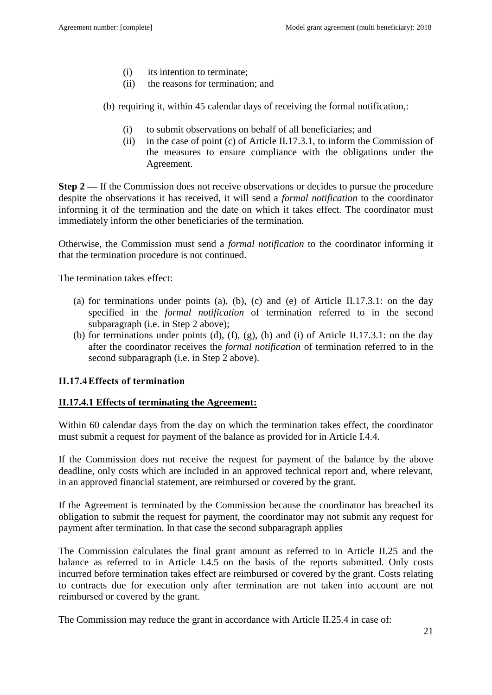- (i) its intention to terminate;
- (ii) the reasons for termination; and

(b) requiring it, within 45 calendar days of receiving the formal notification,:

- (i) to submit observations on behalf of all beneficiaries; and
- (ii) in the case of point (c) of Article II.17.3.1, to inform the Commission of the measures to ensure compliance with the obligations under the Agreement.

**Step 2** — If the Commission does not receive observations or decides to pursue the procedure despite the observations it has received, it will send a *formal notification* to the coordinator informing it of the termination and the date on which it takes effect. The coordinator must immediately inform the other beneficiaries of the termination.

Otherwise, the Commission must send a *formal notification* to the coordinator informing it that the termination procedure is not continued.

The termination takes effect:

- (a) for terminations under points (a), (b), (c) and (e) of Article II.17.3.1: on the day specified in the *formal notification* of termination referred to in the second subparagraph (i.e. in Step 2 above);
- (b) for terminations under points (d), (f), (g), (h) and (i) of Article II.17.3.1: on the day after the coordinator receives the *formal notification* of termination referred to in the second subparagraph (i.e. in Step 2 above).

### <span id="page-20-0"></span>**II.17.4Effects of termination**

### **II.17.4.1 Effects of terminating the Agreement:**

Within 60 calendar days from the day on which the termination takes effect, the coordinator must submit a request for payment of the balance as provided for in Article I.4.4.

If the Commission does not receive the request for payment of the balance by the above deadline, only costs which are included in an approved technical report and, where relevant, in an approved financial statement, are reimbursed or covered by the grant.

If the Agreement is terminated by the Commission because the coordinator has breached its obligation to submit the request for payment, the coordinator may not submit any request for payment after termination. In that case the second subparagraph applies

The Commission calculates the final grant amount as referred to in Article II.25 and the balance as referred to in Article I.4.5 on the basis of the reports submitted. Only costs incurred before termination takes effect are reimbursed or covered by the grant. Costs relating to contracts due for execution only after termination are not taken into account are not reimbursed or covered by the grant.

The Commission may reduce the grant in accordance with Article II.25.4 in case of: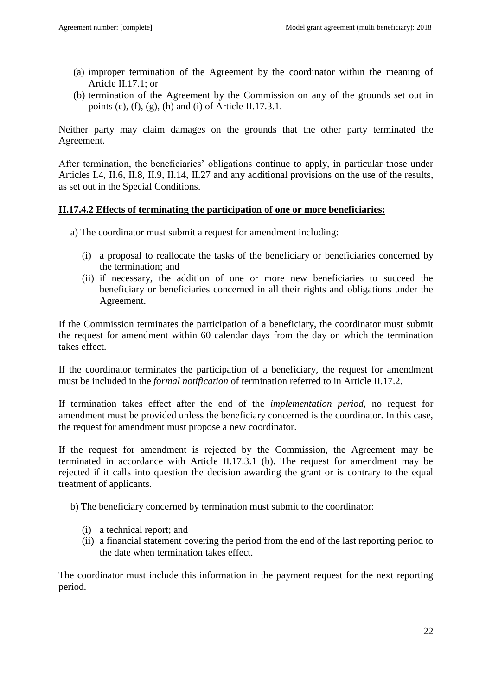- (a) improper termination of the Agreement by the coordinator within the meaning of Article II.17.1; or
- (b) termination of the Agreement by the Commission on any of the grounds set out in points (c), (f), (g), (h) and (i) of Article II.17.3.1.

Neither party may claim damages on the grounds that the other party terminated the Agreement.

After termination, the beneficiaries' obligations continue to apply, in particular those under Articles I.4, II.6, II.8, II.9, II.14, II.27 and any additional provisions on the use of the results, as set out in the Special Conditions.

### **II.17.4.2 Effects of terminating the participation of one or more beneficiaries:**

- a) The coordinator must submit a request for amendment including:
	- (i) a proposal to reallocate the tasks of the beneficiary or beneficiaries concerned by the termination; and
	- (ii) if necessary, the addition of one or more new beneficiaries to succeed the beneficiary or beneficiaries concerned in all their rights and obligations under the Agreement.

If the Commission terminates the participation of a beneficiary, the coordinator must submit the request for amendment within 60 calendar days from the day on which the termination takes effect.

If the coordinator terminates the participation of a beneficiary, the request for amendment must be included in the *formal notification* of termination referred to in Article II.17.2.

If termination takes effect after the end of the *implementation period*, no request for amendment must be provided unless the beneficiary concerned is the coordinator. In this case, the request for amendment must propose a new coordinator.

If the request for amendment is rejected by the Commission, the Agreement may be terminated in accordance with Article II.17.3.1 (b). The request for amendment may be rejected if it calls into question the decision awarding the grant or is contrary to the equal treatment of applicants.

b) The beneficiary concerned by termination must submit to the coordinator:

- (i) a technical report; and
- (ii) a financial statement covering the period from the end of the last reporting period to the date when termination takes effect.

The coordinator must include this information in the payment request for the next reporting period.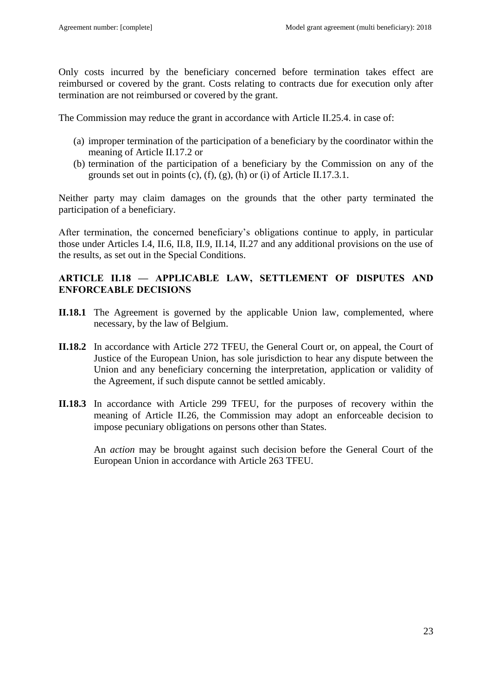Only costs incurred by the beneficiary concerned before termination takes effect are reimbursed or covered by the grant. Costs relating to contracts due for execution only after termination are not reimbursed or covered by the grant.

The Commission may reduce the grant in accordance with Article II.25.4. in case of:

- (a) improper termination of the participation of a beneficiary by the coordinator within the meaning of Article II.17.2 or
- (b) termination of the participation of a beneficiary by the Commission on any of the grounds set out in points (c), (f), (g), (h) or (i) of Article II.17.3.1.

Neither party may claim damages on the grounds that the other party terminated the participation of a beneficiary.

After termination, the concerned beneficiary's obligations continue to apply, in particular those under Articles I.4, II.6, II.8, II.9, II.14, II.27 and any additional provisions on the use of the results, as set out in the Special Conditions.

### <span id="page-22-0"></span>**ARTICLE II.18 — APPLICABLE LAW, SETTLEMENT OF DISPUTES AND ENFORCEABLE DECISIONS**

- **II.18.1** The Agreement is governed by the applicable Union law, complemented, where necessary, by the law of Belgium.
- **II.18.2** In accordance with Article 272 TFEU, the General Court or, on appeal, the Court of Justice of the European Union, has sole jurisdiction to hear any dispute between the Union and any beneficiary concerning the interpretation, application or validity of the Agreement, if such dispute cannot be settled amicably.
- **II.18.3** In accordance with Article 299 TFEU, for the purposes of recovery within the meaning of Article II.26, the Commission may adopt an enforceable decision to impose pecuniary obligations on persons other than States.

An *action* may be brought against such decision before the General Court of the European Union in accordance with Article 263 TFEU.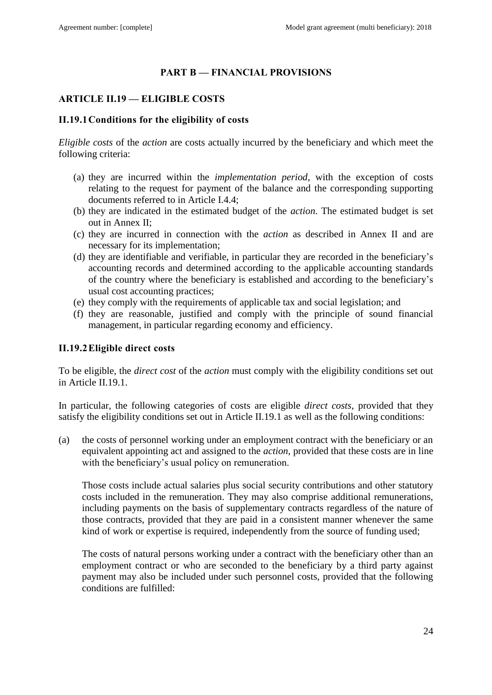### **PART B — FINANCIAL PROVISIONS**

## <span id="page-23-1"></span><span id="page-23-0"></span>**ARTICLE II.19 — ELIGIBLE COSTS**

### <span id="page-23-2"></span>**II.19.1Conditions for the eligibility of costs**

*Eligible costs* of the *action* are costs actually incurred by the beneficiary and which meet the following criteria:

- (a) they are incurred within the *implementation period*, with the exception of costs relating to the request for payment of the balance and the corresponding supporting documents referred to in Article I.4.4;
- (b) they are indicated in the estimated budget of the *action*. The estimated budget is set out in Annex II;
- (c) they are incurred in connection with the *action* as described in Annex II and are necessary for its implementation;
- (d) they are identifiable and verifiable, in particular they are recorded in the beneficiary's accounting records and determined according to the applicable accounting standards of the country where the beneficiary is established and according to the beneficiary's usual cost accounting practices;
- (e) they comply with the requirements of applicable tax and social legislation; and
- (f) they are reasonable, justified and comply with the principle of sound financial management, in particular regarding economy and efficiency.

### <span id="page-23-3"></span>**II.19.2Eligible direct costs**

To be eligible, the *direct cost* of the *action* must comply with the eligibility conditions set out in Article II.19.1.

In particular, the following categories of costs are eligible *direct costs*, provided that they satisfy the eligibility conditions set out in Article II.19.1 as well as the following conditions:

(a) the costs of personnel working under an employment contract with the beneficiary or an equivalent appointing act and assigned to the *action*, provided that these costs are in line with the beneficiary's usual policy on remuneration.

Those costs include actual salaries plus social security contributions and other statutory costs included in the remuneration. They may also comprise additional remunerations, including payments on the basis of supplementary contracts regardless of the nature of those contracts, provided that they are paid in a consistent manner whenever the same kind of work or expertise is required, independently from the source of funding used;

The costs of natural persons working under a contract with the beneficiary other than an employment contract or who are seconded to the beneficiary by a third party against payment may also be included under such personnel costs, provided that the following conditions are fulfilled: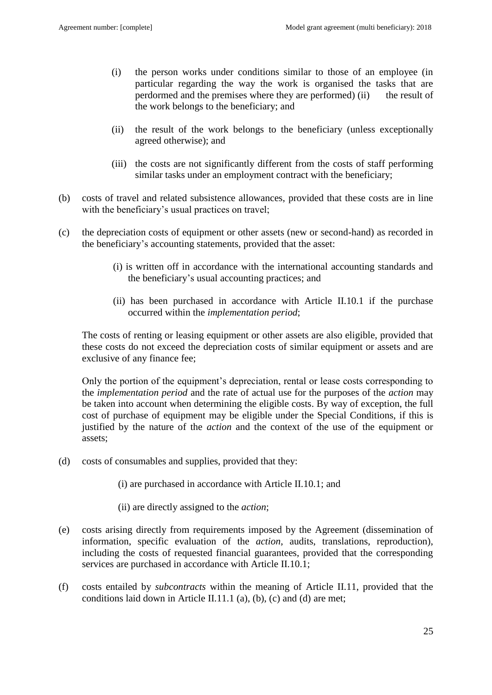- (i) the person works under conditions similar to those of an employee (in particular regarding the way the work is organised the tasks that are perdormed and the premises where they are performed) (ii) the result of the work belongs to the beneficiary; and
- (ii) the result of the work belongs to the beneficiary (unless exceptionally agreed otherwise); and
- (iii) the costs are not significantly different from the costs of staff performing similar tasks under an employment contract with the beneficiary;
- (b) costs of travel and related subsistence allowances, provided that these costs are in line with the beneficiary's usual practices on travel;
- (c) the depreciation costs of equipment or other assets (new or second-hand) as recorded in the beneficiary's accounting statements, provided that the asset:
	- (i) is written off in accordance with the international accounting standards and the beneficiary's usual accounting practices; and
	- (ii) has been purchased in accordance with Article II.10.1 if the purchase occurred within the *implementation period*;

The costs of renting or leasing equipment or other assets are also eligible, provided that these costs do not exceed the depreciation costs of similar equipment or assets and are exclusive of any finance fee;

Only the portion of the equipment's depreciation, rental or lease costs corresponding to the *implementation period* and the rate of actual use for the purposes of the *action* may be taken into account when determining the eligible costs. By way of exception, the full cost of purchase of equipment may be eligible under the Special Conditions, if this is justified by the nature of the *action* and the context of the use of the equipment or assets;

(d) costs of consumables and supplies, provided that they:

(i) are purchased in accordance with Article II.10.1; and

- (ii) are directly assigned to the *action*;
- (e) costs arising directly from requirements imposed by the Agreement (dissemination of information, specific evaluation of the *action*, audits, translations, reproduction), including the costs of requested financial guarantees, provided that the corresponding services are purchased in accordance with Article II.10.1;
- (f) costs entailed by *subcontracts* within the meaning of Article II.11, provided that the conditions laid down in Article II.11.1 (a), (b), (c) and (d) are met;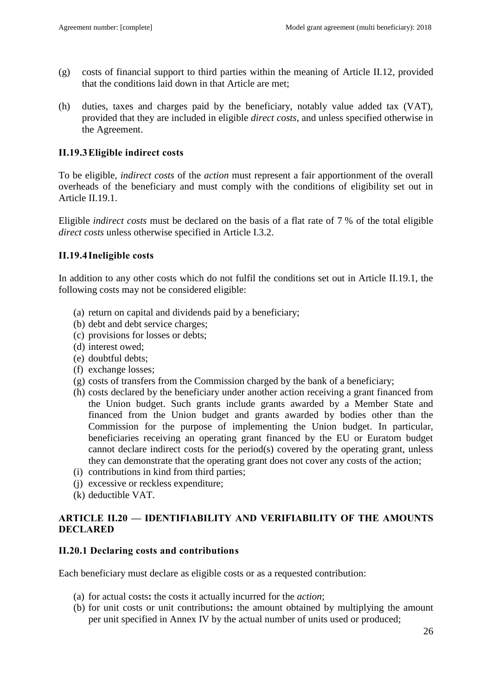- (g) costs of financial support to third parties within the meaning of Article II.12, provided that the conditions laid down in that Article are met;
- (h) duties, taxes and charges paid by the beneficiary, notably value added tax (VAT), provided that they are included in eligible *direct costs*, and unless specified otherwise in the Agreement.

### <span id="page-25-0"></span>**II.19.3Eligible indirect costs**

To be eligible, *indirect costs* of the *action* must represent a fair apportionment of the overall overheads of the beneficiary and must comply with the conditions of eligibility set out in Article II.19.1.

Eligible *indirect costs* must be declared on the basis of a flat rate of 7 % of the total eligible *direct costs* unless otherwise specified in Article I.3.2.

## <span id="page-25-1"></span>**II.19.4Ineligible costs**

In addition to any other costs which do not fulfil the conditions set out in Article II.19.1, the following costs may not be considered eligible:

- (a) return on capital and dividends paid by a beneficiary;
- (b) debt and debt service charges;
- (c) provisions for losses or debts;
- (d) interest owed;
- (e) doubtful debts;
- (f) exchange losses;
- (g) costs of transfers from the Commission charged by the bank of a beneficiary;
- (h) costs declared by the beneficiary under another action receiving a grant financed from the Union budget. Such grants include grants awarded by a Member State and financed from the Union budget and grants awarded by bodies other than the Commission for the purpose of implementing the Union budget. In particular, beneficiaries receiving an operating grant financed by the EU or Euratom budget cannot declare indirect costs for the period(s) covered by the operating grant, unless they can demonstrate that the operating grant does not cover any costs of the action;
- (i) contributions in kind from third parties;
- (j) excessive or reckless expenditure;
- (k) deductible VAT.

## <span id="page-25-2"></span>**ARTICLE II.20 — IDENTIFIABILITY AND VERIFIABILITY OF THE AMOUNTS DECLARED**

### <span id="page-25-3"></span>**II.20.1 Declaring costs and contributions**

Each beneficiary must declare as eligible costs or as a requested contribution:

- (a) for actual costs**:** the costs it actually incurred for the *action*;
- (b) for unit costs or unit contributions**:** the amount obtained by multiplying the amount per unit specified in Annex IV by the actual number of units used or produced;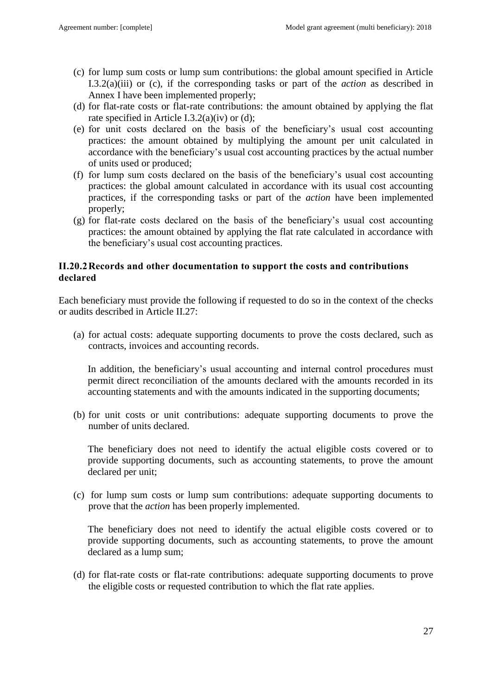- (c) for lump sum costs or lump sum contributions: the global amount specified in Article I.3.2(a)(iii) or (c), if the corresponding tasks or part of the *action* as described in Annex I have been implemented properly;
- (d) for flat-rate costs or flat-rate contributions: the amount obtained by applying the flat rate specified in Article I.3.2(a)(iv) or (d);
- (e) for unit costs declared on the basis of the beneficiary's usual cost accounting practices: the amount obtained by multiplying the amount per unit calculated in accordance with the beneficiary's usual cost accounting practices by the actual number of units used or produced;
- (f) for lump sum costs declared on the basis of the beneficiary's usual cost accounting practices: the global amount calculated in accordance with its usual cost accounting practices, if the corresponding tasks or part of the *action* have been implemented properly;
- (g) for flat-rate costs declared on the basis of the beneficiary's usual cost accounting practices: the amount obtained by applying the flat rate calculated in accordance with the beneficiary's usual cost accounting practices.

## <span id="page-26-0"></span>**II.20.2Records and other documentation to support the costs and contributions declared**

Each beneficiary must provide the following if requested to do so in the context of the checks or audits described in Article II.27:

(a) for actual costs: adequate supporting documents to prove the costs declared, such as contracts, invoices and accounting records.

In addition, the beneficiary's usual accounting and internal control procedures must permit direct reconciliation of the amounts declared with the amounts recorded in its accounting statements and with the amounts indicated in the supporting documents;

(b) for unit costs or unit contributions: adequate supporting documents to prove the number of units declared.

The beneficiary does not need to identify the actual eligible costs covered or to provide supporting documents, such as accounting statements, to prove the amount declared per unit;

(c) for lump sum costs or lump sum contributions: adequate supporting documents to prove that the *action* has been properly implemented.

The beneficiary does not need to identify the actual eligible costs covered or to provide supporting documents, such as accounting statements, to prove the amount declared as a lump sum;

(d) for flat-rate costs or flat-rate contributions: adequate supporting documents to prove the eligible costs or requested contribution to which the flat rate applies.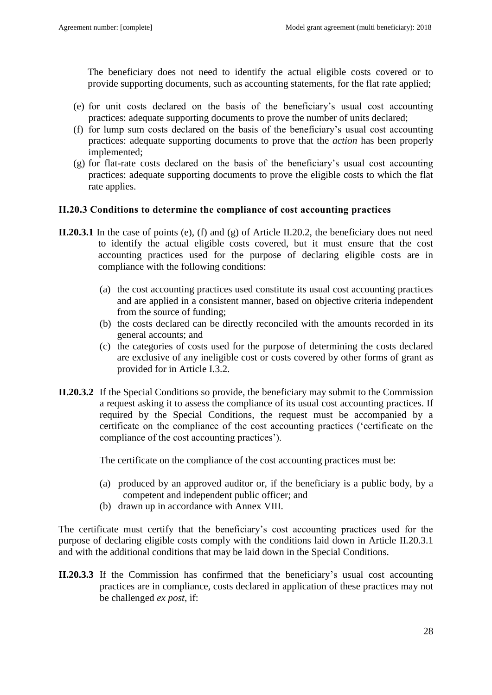The beneficiary does not need to identify the actual eligible costs covered or to provide supporting documents, such as accounting statements, for the flat rate applied;

- (e) for unit costs declared on the basis of the beneficiary's usual cost accounting practices: adequate supporting documents to prove the number of units declared;
- (f) for lump sum costs declared on the basis of the beneficiary's usual cost accounting practices: adequate supporting documents to prove that the *action* has been properly implemented;
- (g) for flat-rate costs declared on the basis of the beneficiary's usual cost accounting practices: adequate supporting documents to prove the eligible costs to which the flat rate applies.

### <span id="page-27-0"></span>**II.20.3 Conditions to determine the compliance of cost accounting practices**

- **II.20.3.1** In the case of points (e), (f) and (g) of Article II.20.2, the beneficiary does not need to identify the actual eligible costs covered, but it must ensure that the cost accounting practices used for the purpose of declaring eligible costs are in compliance with the following conditions:
	- (a) the cost accounting practices used constitute its usual cost accounting practices and are applied in a consistent manner, based on objective criteria independent from the source of funding;
	- (b) the costs declared can be directly reconciled with the amounts recorded in its general accounts; and
	- (c) the categories of costs used for the purpose of determining the costs declared are exclusive of any ineligible cost or costs covered by other forms of grant as provided for in Article I.3.2.
- **II.20.3.2** If the Special Conditions so provide, the beneficiary may submit to the Commission a request asking it to assess the compliance of its usual cost accounting practices. If required by the Special Conditions, the request must be accompanied by a certificate on the compliance of the cost accounting practices ('certificate on the compliance of the cost accounting practices').

The certificate on the compliance of the cost accounting practices must be:

- (a) produced by an approved auditor or, if the beneficiary is a public body, by a competent and independent public officer; and
- (b) drawn up in accordance with Annex VIII.

The certificate must certify that the beneficiary's cost accounting practices used for the purpose of declaring eligible costs comply with the conditions laid down in Article II.20.3.1 and with the additional conditions that may be laid down in the Special Conditions.

**II.20.3.3** If the Commission has confirmed that the beneficiary's usual cost accounting practices are in compliance, costs declared in application of these practices may not be challenged *ex post*, if: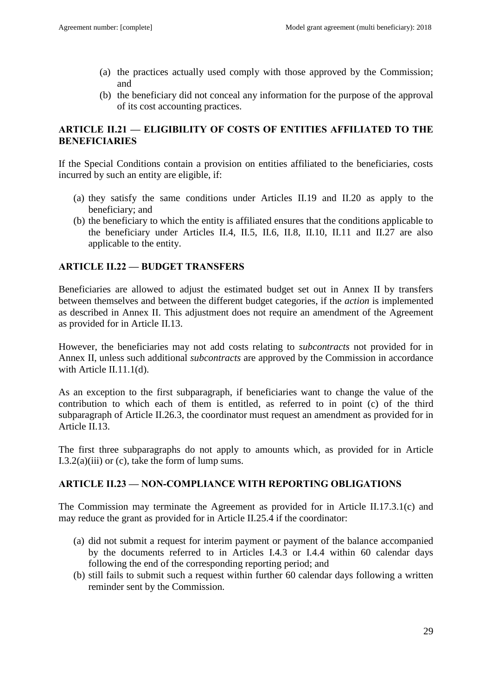- (a) the practices actually used comply with those approved by the Commission; and
- (b) the beneficiary did not conceal any information for the purpose of the approval of its cost accounting practices.

## <span id="page-28-0"></span>**ARTICLE II.21 — ELIGIBILITY OF COSTS OF ENTITIES AFFILIATED TO THE BENEFICIARIES**

If the Special Conditions contain a provision on entities affiliated to the beneficiaries, costs incurred by such an entity are eligible, if:

- (a) they satisfy the same conditions under Articles II.19 and II.20 as apply to the beneficiary; and
- (b) the beneficiary to which the entity is affiliated ensures that the conditions applicable to the beneficiary under Articles II.4, II.5, II.6, II.8, II.10, II.11 and II.27 are also applicable to the entity.

## <span id="page-28-1"></span>**ARTICLE II.22 — BUDGET TRANSFERS**

Beneficiaries are allowed to adjust the estimated budget set out in Annex II by transfers between themselves and between the different budget categories, if the *action* is implemented as described in Annex II. This adjustment does not require an amendment of the Agreement as provided for in Article II.13.

However, the beneficiaries may not add costs relating to *subcontracts* not provided for in Annex II, unless such additional *subcontracts* are approved by the Commission in accordance with Article II.11.1(d).

As an exception to the first subparagraph, if beneficiaries want to change the value of the contribution to which each of them is entitled, as referred to in point (c) of the third subparagraph of Article II.26.3, the coordinator must request an amendment as provided for in Article II.13.

The first three subparagraphs do not apply to amounts which, as provided for in Article I.3.2(a)(iii) or (c), take the form of lump sums.

## <span id="page-28-2"></span>**ARTICLE II.23 — NON-COMPLIANCE WITH REPORTING OBLIGATIONS**

The Commission may terminate the Agreement as provided for in Article II.17.3.1(c) and may reduce the grant as provided for in Article II.25.4 if the coordinator:

- (a) did not submit a request for interim payment or payment of the balance accompanied by the documents referred to in Articles I.4.3 or I.4.4 within 60 calendar days following the end of the corresponding reporting period; and
- (b) still fails to submit such a request within further 60 calendar days following a written reminder sent by the Commission.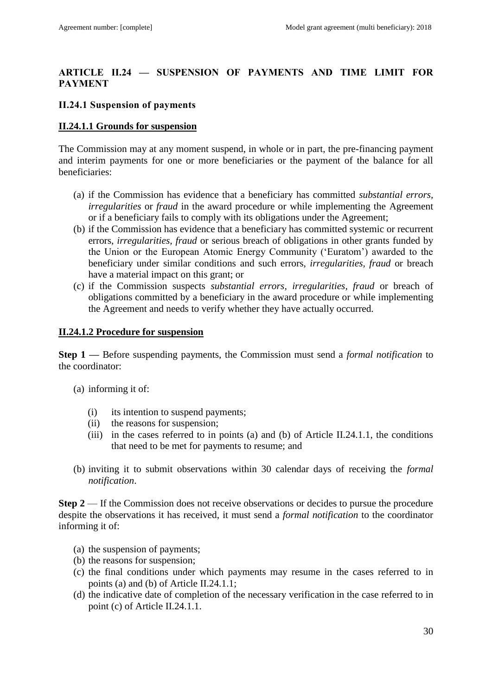## <span id="page-29-0"></span>**ARTICLE II.24 — SUSPENSION OF PAYMENTS AND TIME LIMIT FOR PAYMENT**

### <span id="page-29-1"></span>**II.24.1 Suspension of payments**

#### **II.24.1.1 Grounds for suspension**

The Commission may at any moment suspend, in whole or in part, the pre-financing payment and interim payments for one or more beneficiaries or the payment of the balance for all beneficiaries:

- (a) if the Commission has evidence that a beneficiary has committed *substantial errors, irregularities* or *fraud* in the award procedure or while implementing the Agreement or if a beneficiary fails to comply with its obligations under the Agreement;
- (b) if the Commission has evidence that a beneficiary has committed systemic or recurrent errors, *irregularities, fraud* or serious breach of obligations in other grants funded by the Union or the European Atomic Energy Community ('Euratom') awarded to the beneficiary under similar conditions and such errors, *irregularities, fraud* or breach have a material impact on this grant; or
- (c) if the Commission suspects *substantial errors, irregularities, fraud* or breach of obligations committed by a beneficiary in the award procedure or while implementing the Agreement and needs to verify whether they have actually occurred.

### **II.24.1.2 Procedure for suspension**

**Step 1 —** Before suspending payments, the Commission must send a *formal notification* to the coordinator:

- (a) informing it of:
	- (i) its intention to suspend payments;
	- (ii) the reasons for suspension;
	- (iii) in the cases referred to in points (a) and (b) of Article II.24.1.1, the conditions that need to be met for payments to resume; and
- (b) inviting it to submit observations within 30 calendar days of receiving the *formal notification*.

**Step 2** — If the Commission does not receive observations or decides to pursue the procedure despite the observations it has received, it must send a *formal notification* to the coordinator informing it of:

- (a) the suspension of payments;
- (b) the reasons for suspension;
- (c) the final conditions under which payments may resume in the cases referred to in points (a) and (b) of Article II.24.1.1;
- (d) the indicative date of completion of the necessary verification in the case referred to in point (c) of Article II.24.1.1.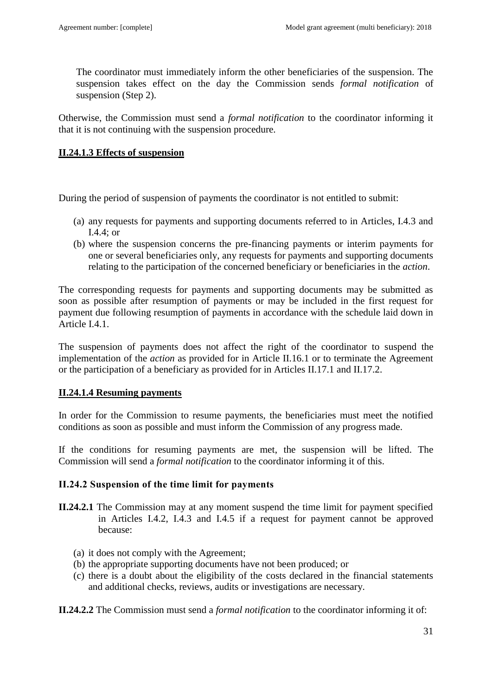The coordinator must immediately inform the other beneficiaries of the suspension. The suspension takes effect on the day the Commission sends *formal notification* of suspension (Step 2).

Otherwise, the Commission must send a *formal notification* to the coordinator informing it that it is not continuing with the suspension procedure.

### **II.24.1.3 Effects of suspension**

During the period of suspension of payments the coordinator is not entitled to submit:

- (a) any requests for payments and supporting documents referred to in Articles, I.4.3 and I.4.4; or
- (b) where the suspension concerns the pre-financing payments or interim payments for one or several beneficiaries only, any requests for payments and supporting documents relating to the participation of the concerned beneficiary or beneficiaries in the *action*.

The corresponding requests for payments and supporting documents may be submitted as soon as possible after resumption of payments or may be included in the first request for payment due following resumption of payments in accordance with the schedule laid down in Article I.4.1.

The suspension of payments does not affect the right of the coordinator to suspend the implementation of the *action* as provided for in Article II.16.1 or to terminate the Agreement or the participation of a beneficiary as provided for in Articles II.17.1 and II.17.2.

## **II.24.1.4 Resuming payments**

In order for the Commission to resume payments, the beneficiaries must meet the notified conditions as soon as possible and must inform the Commission of any progress made.

If the conditions for resuming payments are met, the suspension will be lifted. The Commission will send a *formal notification* to the coordinator informing it of this.

### <span id="page-30-0"></span>**II.24.2 Suspension of the time limit for payments**

- **II.24.2.1** The Commission may at any moment suspend the time limit for payment specified in Articles I.4.2, I.4.3 and I.4.5 if a request for payment cannot be approved because:
	- (a) it does not comply with the Agreement;
	- (b) the appropriate supporting documents have not been produced; or
	- (c) there is a doubt about the eligibility of the costs declared in the financial statements and additional checks, reviews, audits or investigations are necessary.

**II.24.2.2** The Commission must send a *formal notification* to the coordinator informing it of: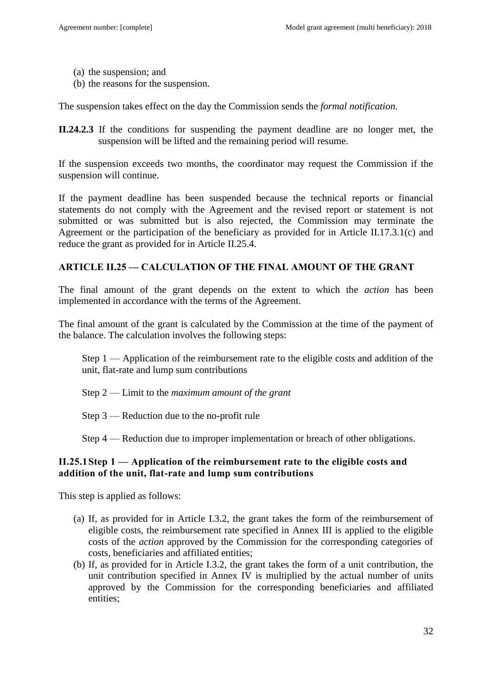- (a) the suspension; and
- (b) the reasons for the suspension.

The suspension takes effect on the day the Commission sends the *formal notification*.

**II.24.2.3** If the conditions for suspending the payment deadline are no longer met, the suspension will be lifted and the remaining period will resume.

If the suspension exceeds two months, the coordinator may request the Commission if the suspension will continue.

If the payment deadline has been suspended because the technical reports or financial statements do not comply with the Agreement and the revised report or statement is not submitted or was submitted but is also rejected, the Commission may terminate the Agreement or the participation of the beneficiary as provided for in Article II.17.3.1(c) and reduce the grant as provided for in Article II.25.4.

### <span id="page-31-0"></span>**ARTICLE II.25 — CALCULATION OF THE FINAL AMOUNT OF THE GRANT**

The final amount of the grant depends on the extent to which the *action* has been implemented in accordance with the terms of the Agreement.

The final amount of the grant is calculated by the Commission at the time of the payment of the balance. The calculation involves the following steps:

Step 1 — Application of the reimbursement rate to the eligible costs and addition of the unit, flat-rate and lump sum contributions

- Step 2 Limit to the *maximum amount of the grant*
- Step 3 Reduction due to the no-profit rule

Step 4 — Reduction due to improper implementation or breach of other obligations.

### <span id="page-31-1"></span>**II.25.1Step 1 — Application of the reimbursement rate to the eligible costs and addition of the unit, flat-rate and lump sum contributions**

This step is applied as follows:

- (a) If, as provided for in Article I.3.2, the grant takes the form of the reimbursement of eligible costs, the reimbursement rate specified in Annex III is applied to the eligible costs of the *action* approved by the Commission for the corresponding categories of costs, beneficiaries and affiliated entities;
- (b) If, as provided for in Article I.3.2, the grant takes the form of a unit contribution, the unit contribution specified in Annex IV is multiplied by the actual number of units approved by the Commission for the corresponding beneficiaries and affiliated entities;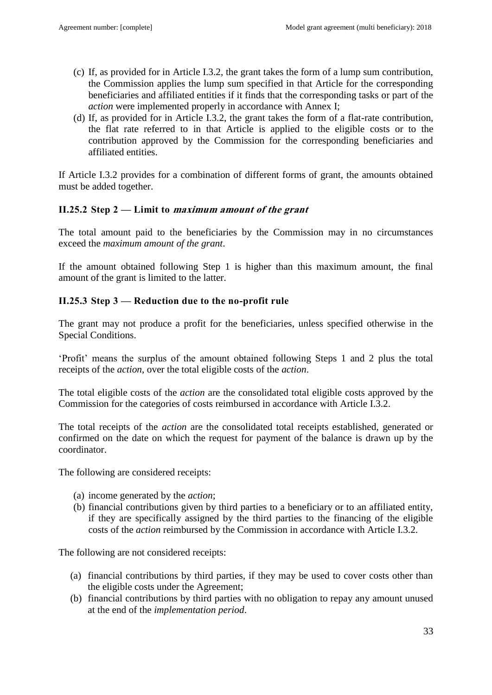- (c) If, as provided for in Article I.3.2, the grant takes the form of a lump sum contribution, the Commission applies the lump sum specified in that Article for the corresponding beneficiaries and affiliated entities if it finds that the corresponding tasks or part of the *action* were implemented properly in accordance with Annex I;
- (d) If, as provided for in Article I.3.2, the grant takes the form of a flat-rate contribution, the flat rate referred to in that Article is applied to the eligible costs or to the contribution approved by the Commission for the corresponding beneficiaries and affiliated entities.

If Article I.3.2 provides for a combination of different forms of grant, the amounts obtained must be added together.

## <span id="page-32-0"></span>**II.25.2 Step 2 — Limit to maximum amount of the grant**

The total amount paid to the beneficiaries by the Commission may in no circumstances exceed the *maximum amount of the grant*.

If the amount obtained following Step 1 is higher than this maximum amount, the final amount of the grant is limited to the latter.

## <span id="page-32-1"></span>**II.25.3 Step 3 — Reduction due to the no-profit rule**

The grant may not produce a profit for the beneficiaries, unless specified otherwise in the Special Conditions.

'Profit' means the surplus of the amount obtained following Steps 1 and 2 plus the total receipts of the *action*, over the total eligible costs of the *action*.

The total eligible costs of the *action* are the consolidated total eligible costs approved by the Commission for the categories of costs reimbursed in accordance with Article I.3.2.

The total receipts of the *action* are the consolidated total receipts established, generated or confirmed on the date on which the request for payment of the balance is drawn up by the coordinator.

The following are considered receipts:

- (a) income generated by the *action*;
- (b) financial contributions given by third parties to a beneficiary or to an affiliated entity, if they are specifically assigned by the third parties to the financing of the eligible costs of the *action* reimbursed by the Commission in accordance with Article I.3.2.

The following are not considered receipts:

- (a) financial contributions by third parties, if they may be used to cover costs other than the eligible costs under the Agreement;
- (b) financial contributions by third parties with no obligation to repay any amount unused at the end of the *implementation period*.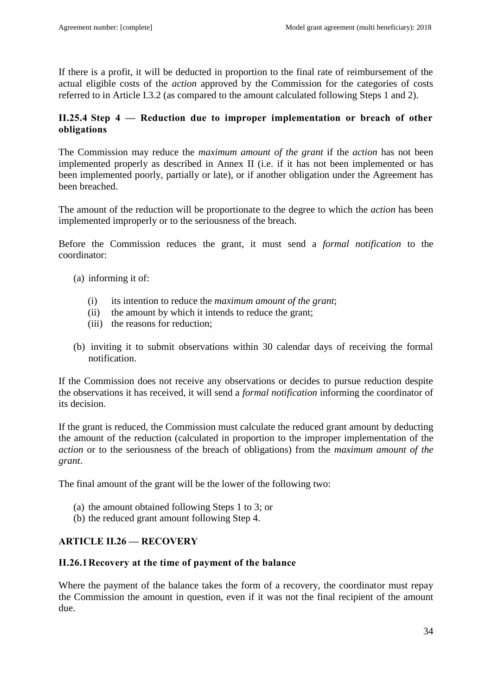If there is a profit, it will be deducted in proportion to the final rate of reimbursement of the actual eligible costs of the *action* approved by the Commission for the categories of costs referred to in Article I.3.2 (as compared to the amount calculated following Steps 1 and 2).

## <span id="page-33-0"></span>**II.25.4 Step 4 — Reduction due to improper implementation or breach of other obligations**

The Commission may reduce the *maximum amount of the grant* if the *action* has not been implemented properly as described in Annex II (i.e. if it has not been implemented or has been implemented poorly, partially or late), or if another obligation under the Agreement has been breached.

The amount of the reduction will be proportionate to the degree to which the *action* has been implemented improperly or to the seriousness of the breach.

Before the Commission reduces the grant, it must send a *formal notification* to the coordinator:

- (a) informing it of:
	- (i) its intention to reduce the *maximum amount of the grant*;
	- (ii) the amount by which it intends to reduce the grant;
	- (iii) the reasons for reduction;
- (b) inviting it to submit observations within 30 calendar days of receiving the formal notification.

If the Commission does not receive any observations or decides to pursue reduction despite the observations it has received, it will send a *formal notification* informing the coordinator of its decision.

If the grant is reduced, the Commission must calculate the reduced grant amount by deducting the amount of the reduction (calculated in proportion to the improper implementation of the *action* or to the seriousness of the breach of obligations) from the *maximum amount of the grant*.

The final amount of the grant will be the lower of the following two:

- (a) the amount obtained following Steps 1 to 3; or
- (b) the reduced grant amount following Step 4.

# <span id="page-33-1"></span>**ARTICLE II.26 — RECOVERY**

# <span id="page-33-2"></span>**II.26.1Recovery at the time of payment of the balance**

Where the payment of the balance takes the form of a recovery, the coordinator must repay the Commission the amount in question, even if it was not the final recipient of the amount due.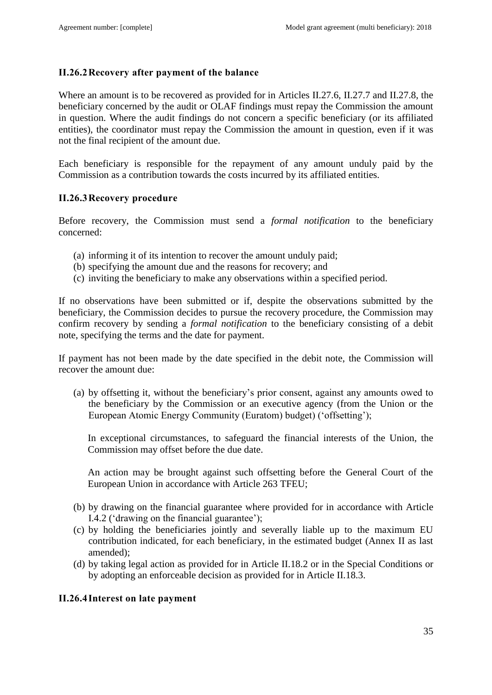## <span id="page-34-0"></span>**II.26.2Recovery after payment of the balance**

Where an amount is to be recovered as provided for in Articles II.27.6, II.27.7 and II.27.8, the beneficiary concerned by the audit or OLAF findings must repay the Commission the amount in question. Where the audit findings do not concern a specific beneficiary (or its affiliated entities), the coordinator must repay the Commission the amount in question, even if it was not the final recipient of the amount due.

Each beneficiary is responsible for the repayment of any amount unduly paid by the Commission as a contribution towards the costs incurred by its affiliated entities.

### <span id="page-34-1"></span>**II.26.3Recovery procedure**

Before recovery, the Commission must send a *formal notification* to the beneficiary concerned:

- (a) informing it of its intention to recover the amount unduly paid;
- (b) specifying the amount due and the reasons for recovery; and
- (c) inviting the beneficiary to make any observations within a specified period.

If no observations have been submitted or if, despite the observations submitted by the beneficiary, the Commission decides to pursue the recovery procedure, the Commission may confirm recovery by sending a *formal notification* to the beneficiary consisting of a debit note, specifying the terms and the date for payment.

If payment has not been made by the date specified in the debit note, the Commission will recover the amount due:

(a) by offsetting it, without the beneficiary's prior consent, against any amounts owed to the beneficiary by the Commission or an executive agency (from the Union or the European Atomic Energy Community (Euratom) budget) ('offsetting');

In exceptional circumstances, to safeguard the financial interests of the Union, the Commission may offset before the due date.

An action may be brought against such offsetting before the General Court of the European Union in accordance with Article 263 TFEU;

- (b) by drawing on the financial guarantee where provided for in accordance with Article I.4.2 ('drawing on the financial guarantee');
- (c) by holding the beneficiaries jointly and severally liable up to the maximum EU contribution indicated, for each beneficiary, in the estimated budget (Annex II as last amended);
- (d) by taking legal action as provided for in Article II.18.2 or in the Special Conditions or by adopting an enforceable decision as provided for in Article II.18.3.

## <span id="page-34-2"></span>**II.26.4Interest on late payment**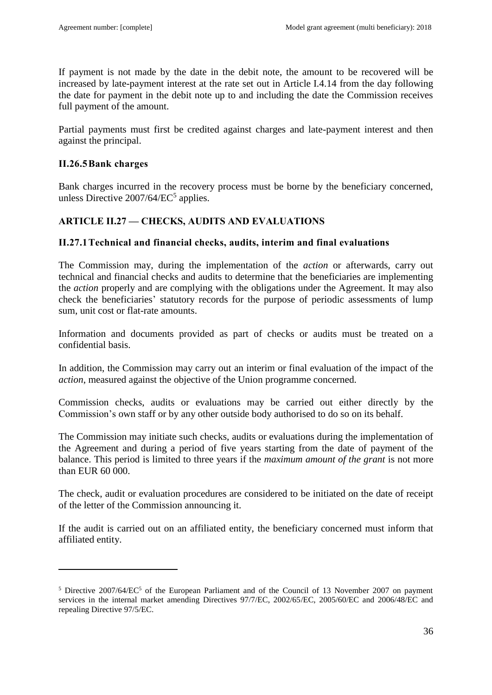If payment is not made by the date in the debit note, the amount to be recovered will be increased by late-payment interest at the rate set out in Article I.4.14 from the day following the date for payment in the debit note up to and including the date the Commission receives full payment of the amount.

Partial payments must first be credited against charges and late-payment interest and then against the principal.

### <span id="page-35-0"></span>**II.26.5Bank charges**

 $\overline{a}$ 

Bank charges incurred in the recovery process must be borne by the beneficiary concerned, unless Directive  $2007/64/EC^5$  applies.

## <span id="page-35-1"></span>**ARTICLE II.27 — CHECKS, AUDITS AND EVALUATIONS**

### <span id="page-35-2"></span>**II.27.1Technical and financial checks, audits, interim and final evaluations**

The Commission may, during the implementation of the *action* or afterwards, carry out technical and financial checks and audits to determine that the beneficiaries are implementing the *action* properly and are complying with the obligations under the Agreement. It may also check the beneficiaries' statutory records for the purpose of periodic assessments of lump sum, unit cost or flat-rate amounts.

Information and documents provided as part of checks or audits must be treated on a confidential basis.

In addition, the Commission may carry out an interim or final evaluation of the impact of the *action*, measured against the objective of the Union programme concerned.

Commission checks, audits or evaluations may be carried out either directly by the Commission's own staff or by any other outside body authorised to do so on its behalf.

The Commission may initiate such checks, audits or evaluations during the implementation of the Agreement and during a period of five years starting from the date of payment of the balance. This period is limited to three years if the *maximum amount of the grant* is not more than EUR 60 000.

The check, audit or evaluation procedures are considered to be initiated on the date of receipt of the letter of the Commission announcing it.

If the audit is carried out on an affiliated entity, the beneficiary concerned must inform that affiliated entity.

<sup>&</sup>lt;sup>5</sup> Directive 2007/64/EC<sup>5</sup> of the European Parliament and of the Council of 13 November 2007 on payment services in the internal market amending Directives 97/7/EC, 2002/65/EC, 2005/60/EC and 2006/48/EC and repealing Directive 97/5/EC.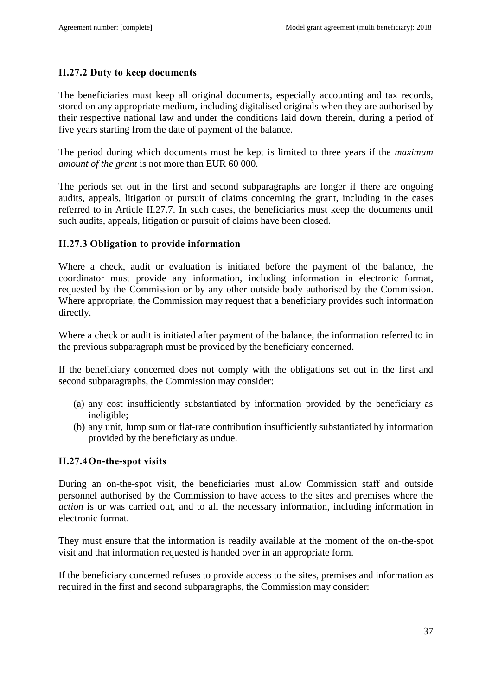### <span id="page-36-0"></span>**II.27.2 Duty to keep documents**

The beneficiaries must keep all original documents, especially accounting and tax records, stored on any appropriate medium, including digitalised originals when they are authorised by their respective national law and under the conditions laid down therein, during a period of five years starting from the date of payment of the balance.

The period during which documents must be kept is limited to three years if the *maximum amount of the grant* is not more than EUR 60 000.

The periods set out in the first and second subparagraphs are longer if there are ongoing audits, appeals, litigation or pursuit of claims concerning the grant, including in the cases referred to in Article II.27.7. In such cases, the beneficiaries must keep the documents until such audits, appeals, litigation or pursuit of claims have been closed.

### <span id="page-36-1"></span>**II.27.3 Obligation to provide information**

Where a check, audit or evaluation is initiated before the payment of the balance, the coordinator must provide any information, including information in electronic format, requested by the Commission or by any other outside body authorised by the Commission. Where appropriate, the Commission may request that a beneficiary provides such information directly.

Where a check or audit is initiated after payment of the balance, the information referred to in the previous subparagraph must be provided by the beneficiary concerned.

If the beneficiary concerned does not comply with the obligations set out in the first and second subparagraphs, the Commission may consider:

- (a) any cost insufficiently substantiated by information provided by the beneficiary as ineligible;
- (b) any unit, lump sum or flat-rate contribution insufficiently substantiated by information provided by the beneficiary as undue.

## <span id="page-36-2"></span>**II.27.4On-the-spot visits**

During an on-the-spot visit, the beneficiaries must allow Commission staff and outside personnel authorised by the Commission to have access to the sites and premises where the *action* is or was carried out, and to all the necessary information, including information in electronic format.

They must ensure that the information is readily available at the moment of the on-the-spot visit and that information requested is handed over in an appropriate form.

If the beneficiary concerned refuses to provide access to the sites, premises and information as required in the first and second subparagraphs, the Commission may consider: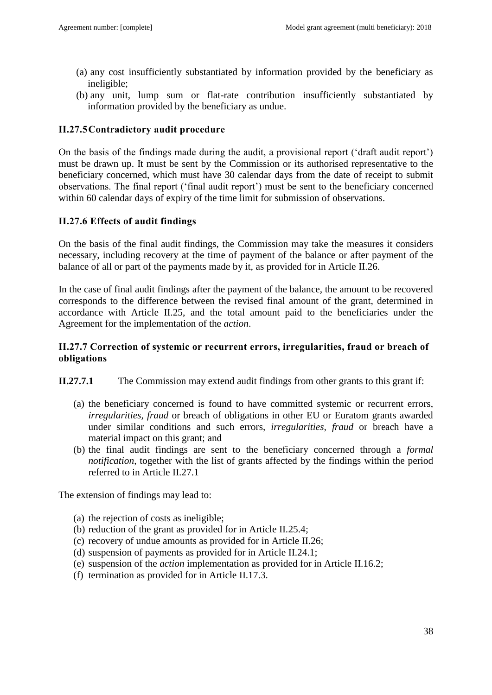- (a) any cost insufficiently substantiated by information provided by the beneficiary as ineligible;
- (b) any unit, lump sum or flat-rate contribution insufficiently substantiated by information provided by the beneficiary as undue.

### <span id="page-37-0"></span>**II.27.5Contradictory audit procedure**

On the basis of the findings made during the audit, a provisional report ('draft audit report') must be drawn up. It must be sent by the Commission or its authorised representative to the beneficiary concerned, which must have 30 calendar days from the date of receipt to submit observations. The final report ('final audit report') must be sent to the beneficiary concerned within 60 calendar days of expiry of the time limit for submission of observations.

### <span id="page-37-1"></span>**II.27.6 Effects of audit findings**

On the basis of the final audit findings, the Commission may take the measures it considers necessary, including recovery at the time of payment of the balance or after payment of the balance of all or part of the payments made by it, as provided for in Article II.26.

In the case of final audit findings after the payment of the balance, the amount to be recovered corresponds to the difference between the revised final amount of the grant, determined in accordance with Article II.25, and the total amount paid to the beneficiaries under the Agreement for the implementation of the *action*.

### <span id="page-37-2"></span>**II.27.7 Correction of systemic or recurrent errors, irregularities, fraud or breach of obligations**

**II.27.7.1** The Commission may extend audit findings from other grants to this grant if:

- (a) the beneficiary concerned is found to have committed systemic or recurrent errors, *irregularities, fraud* or breach of obligations in other EU or Euratom grants awarded under similar conditions and such errors, *irregularities, fraud* or breach have a material impact on this grant; and
- (b) the final audit findings are sent to the beneficiary concerned through a *formal notification*, together with the list of grants affected by the findings within the period referred to in Article II.27.1

The extension of findings may lead to:

- (a) the rejection of costs as ineligible;
- (b) reduction of the grant as provided for in Article II.25.4;
- (c) recovery of undue amounts as provided for in Article II.26;
- (d) suspension of payments as provided for in Article II.24.1;
- (e) suspension of the *action* implementation as provided for in Article II.16.2;
- (f) termination as provided for in Article II.17.3.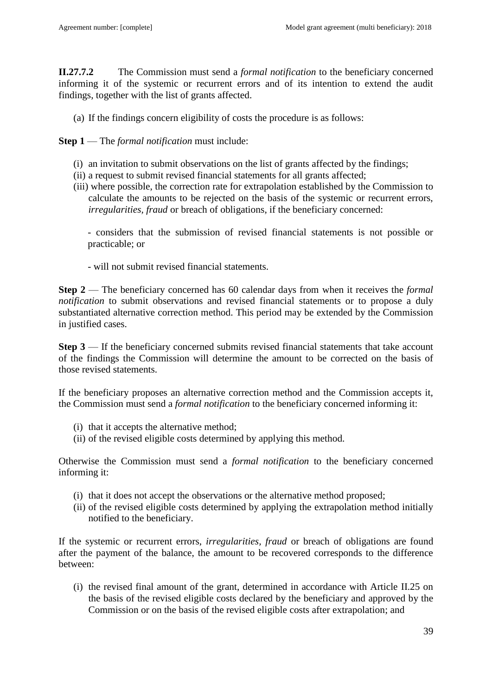**II.27.7.2** The Commission must send a *formal notification* to the beneficiary concerned informing it of the systemic or recurrent errors and of its intention to extend the audit findings, together with the list of grants affected.

(a) If the findings concern eligibility of costs the procedure is as follows:

**Step 1** — The *formal notification* must include:

- (i) an invitation to submit observations on the list of grants affected by the findings;
- (ii) a request to submit revised financial statements for all grants affected;
- (iii) where possible, the correction rate for extrapolation established by the Commission to calculate the amounts to be rejected on the basis of the systemic or recurrent errors, *irregularities, fraud* or breach of obligations, if the beneficiary concerned:

- considers that the submission of revised financial statements is not possible or practicable; or

- will not submit revised financial statements.

**Step 2** — The beneficiary concerned has 60 calendar days from when it receives the *formal notification* to submit observations and revised financial statements or to propose a duly substantiated alternative correction method. This period may be extended by the Commission in justified cases.

**Step 3** — If the beneficiary concerned submits revised financial statements that take account of the findings the Commission will determine the amount to be corrected on the basis of those revised statements.

If the beneficiary proposes an alternative correction method and the Commission accepts it, the Commission must send a *formal notification* to the beneficiary concerned informing it:

- (i) that it accepts the alternative method;
- (ii) of the revised eligible costs determined by applying this method.

Otherwise the Commission must send a *formal notification* to the beneficiary concerned informing it:

- (i) that it does not accept the observations or the alternative method proposed;
- (ii) of the revised eligible costs determined by applying the extrapolation method initially notified to the beneficiary.

If the systemic or recurrent errors, *irregularities, fraud* or breach of obligations are found after the payment of the balance, the amount to be recovered corresponds to the difference between:

(i) the revised final amount of the grant, determined in accordance with Article II.25 on the basis of the revised eligible costs declared by the beneficiary and approved by the Commission or on the basis of the revised eligible costs after extrapolation; and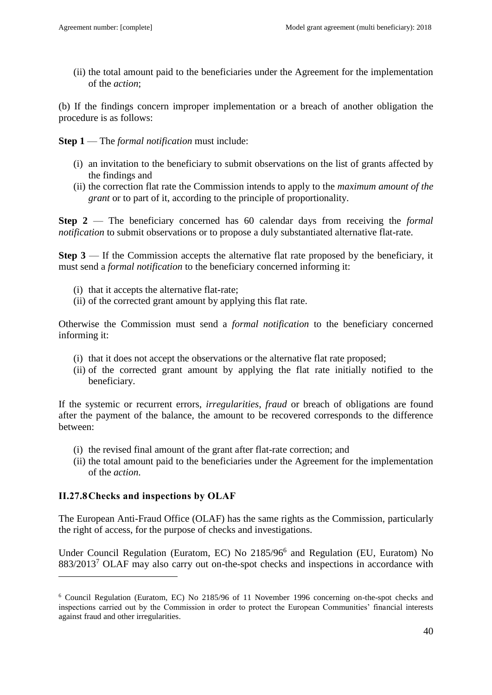(ii) the total amount paid to the beneficiaries under the Agreement for the implementation of the *action*;

(b) If the findings concern improper implementation or a breach of another obligation the procedure is as follows:

**Step 1** — The *formal notification* must include:

- (i) an invitation to the beneficiary to submit observations on the list of grants affected by the findings and
- (ii) the correction flat rate the Commission intends to apply to the *maximum amount of the grant* or to part of it, according to the principle of proportionality.

**Step 2** — The beneficiary concerned has 60 calendar days from receiving the *formal notification* to submit observations or to propose a duly substantiated alternative flat-rate.

**Step 3** — If the Commission accepts the alternative flat rate proposed by the beneficiary, it must send a *formal notification* to the beneficiary concerned informing it:

- (i) that it accepts the alternative flat-rate;
- (ii) of the corrected grant amount by applying this flat rate.

Otherwise the Commission must send a *formal notification* to the beneficiary concerned informing it:

- (i) that it does not accept the observations or the alternative flat rate proposed;
- (ii) of the corrected grant amount by applying the flat rate initially notified to the beneficiary.

If the systemic or recurrent errors, *irregularities*, *fraud* or breach of obligations are found after the payment of the balance, the amount to be recovered corresponds to the difference between:

- (i) the revised final amount of the grant after flat-rate correction; and
- (ii) the total amount paid to the beneficiaries under the Agreement for the implementation of the *action*.

## <span id="page-39-0"></span>**II.27.8Checks and inspections by OLAF**

 $\overline{a}$ 

The European Anti-Fraud Office (OLAF) has the same rights as the Commission, particularly the right of access, for the purpose of checks and investigations.

Under Council Regulation (Euratom, EC) No 2185/96<sup>6</sup> and Regulation (EU, Euratom) No 883/2013<sup>7</sup> OLAF may also carry out on-the-spot checks and inspections in accordance with

<sup>6</sup> Council Regulation (Euratom, EC) No 2185/96 of 11 November 1996 concerning on-the-spot checks and inspections carried out by the Commission in order to protect the European Communities' financial interests against fraud and other irregularities.